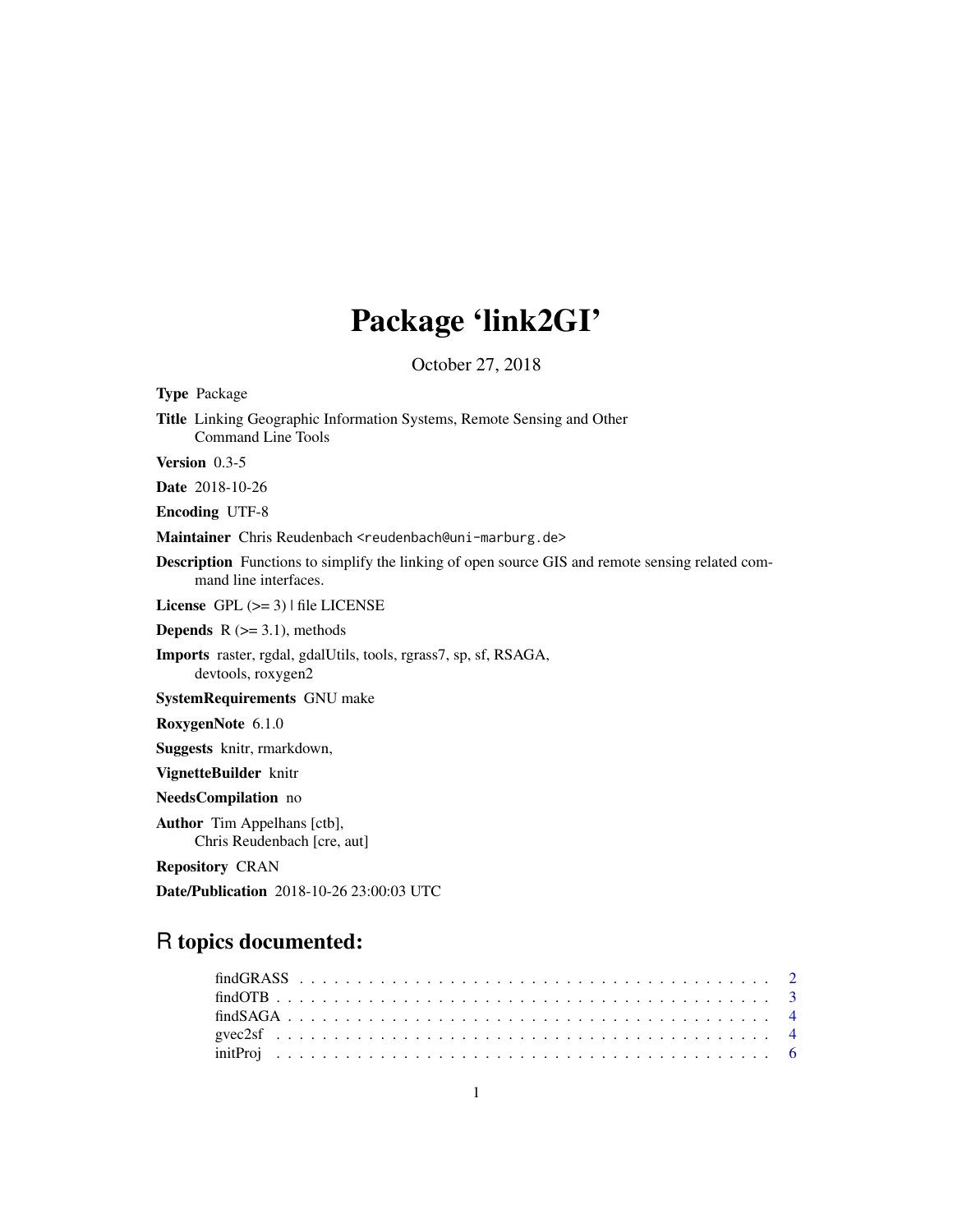# Package 'link2GI'

October 27, 2018

<span id="page-0-0"></span>Type Package Title Linking Geographic Information Systems, Remote Sensing and Other Command Line Tools Version 0.3-5 Date 2018-10-26 Encoding UTF-8 Maintainer Chris Reudenbach <reudenbach@uni-marburg.de> Description Functions to simplify the linking of open source GIS and remote sensing related command line interfaces. License  $GPL$  ( $>= 3$ ) | file LICENSE **Depends**  $R$  ( $>= 3.1$ ), methods Imports raster, rgdal, gdalUtils, tools, rgrass7, sp, sf, RSAGA, devtools, roxygen2 SystemRequirements GNU make RoxygenNote 6.1.0 Suggests knitr, rmarkdown, VignetteBuilder knitr NeedsCompilation no Author Tim Appelhans [ctb], Chris Reudenbach [cre, aut] Repository CRAN Date/Publication 2018-10-26 23:00:03 UTC

## R topics documented: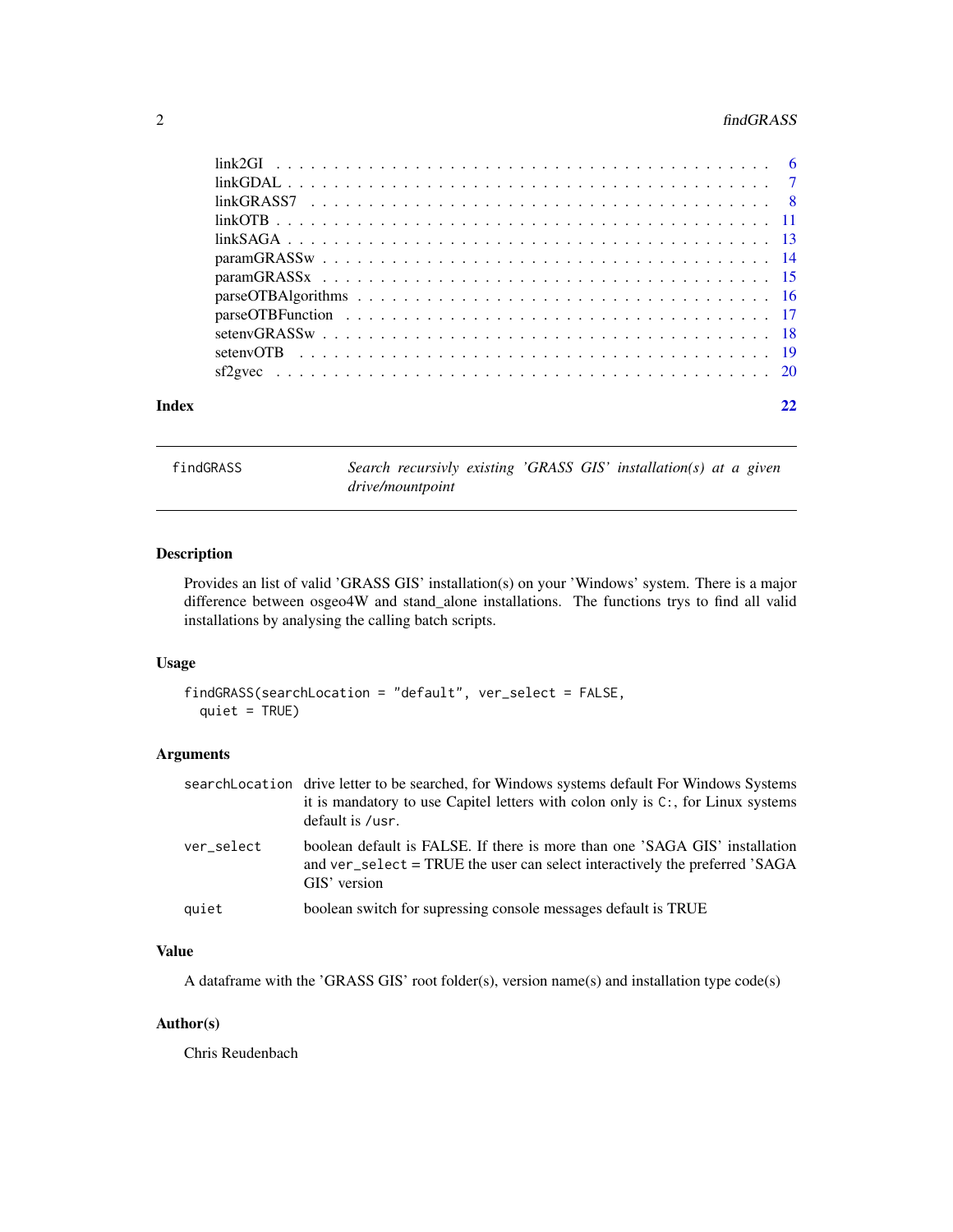#### <span id="page-1-0"></span>2 findGRASS

| Index |  |
|-------|--|

findGRASS *Search recursivly existing 'GRASS GIS' installation(s) at a given drive/mountpoint*

#### Description

Provides an list of valid 'GRASS GIS' installation(s) on your 'Windows' system. There is a major difference between osgeo4W and stand\_alone installations. The functions trys to find all valid installations by analysing the calling batch scripts.

#### Usage

```
findGRASS(searchLocation = "default", ver_select = FALSE,
 quiet = TRUE)
```
#### Arguments

|            | searchLocation drive letter to be searched, for Windows systems default For Windows Systems<br>it is mandatory to use Capitel letters with colon only is $C:$ , for Linux systems<br>default is /usr. |
|------------|-------------------------------------------------------------------------------------------------------------------------------------------------------------------------------------------------------|
| ver select | boolean default is FALSE. If there is more than one 'SAGA GIS' installation<br>and ver_select = TRUE the user can select interactively the preferred 'SAGA<br>GIS' version                            |
| quiet      | boolean switch for supressing console messages default is TRUE                                                                                                                                        |

#### Value

A dataframe with the 'GRASS GIS' root folder(s), version name(s) and installation type code(s)

#### Author(s)

Chris Reudenbach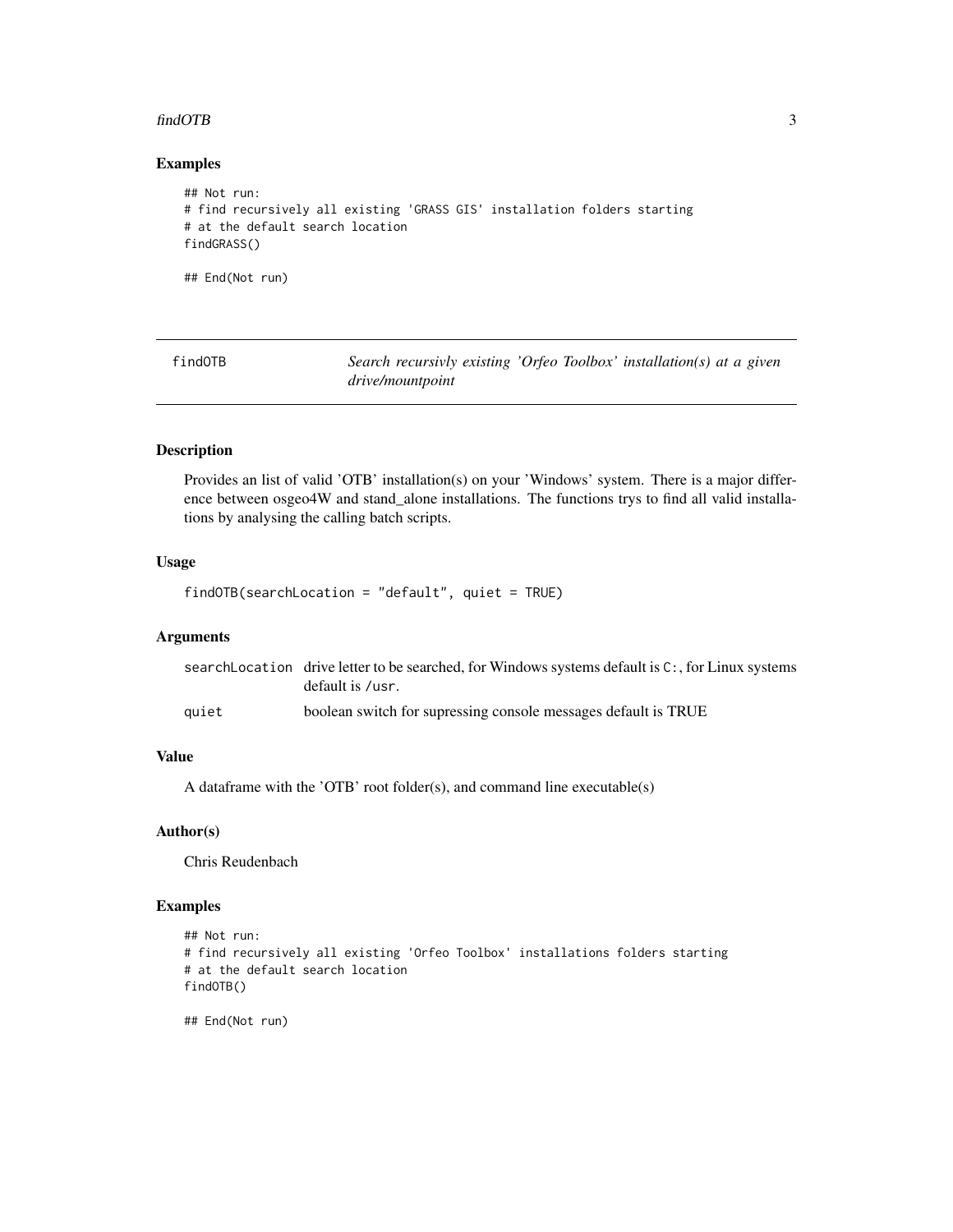#### <span id="page-2-0"></span>findOTB 3

#### Examples

```
## Not run:
# find recursively all existing 'GRASS GIS' installation folders starting
# at the default search location
findGRASS()
## End(Not run)
```
findOTB *Search recursivly existing 'Orfeo Toolbox' installation(s) at a given drive/mountpoint*

#### Description

Provides an list of valid 'OTB' installation(s) on your 'Windows' system. There is a major difference between osgeo4W and stand\_alone installations. The functions trys to find all valid installations by analysing the calling batch scripts.

#### Usage

findOTB(searchLocation = "default", quiet = TRUE)

#### Arguments

|       | search Location drive letter to be searched, for Windows systems default is $C:$ , for Linux systems |
|-------|------------------------------------------------------------------------------------------------------|
|       | default is /usr.                                                                                     |
| auiet | boolean switch for supressing console messages default is TRUE                                       |

#### Value

A dataframe with the 'OTB' root folder(s), and command line executable(s)

#### Author(s)

Chris Reudenbach

#### Examples

```
## Not run:
# find recursively all existing 'Orfeo Toolbox' installations folders starting
# at the default search location
findOTB()
```
## End(Not run)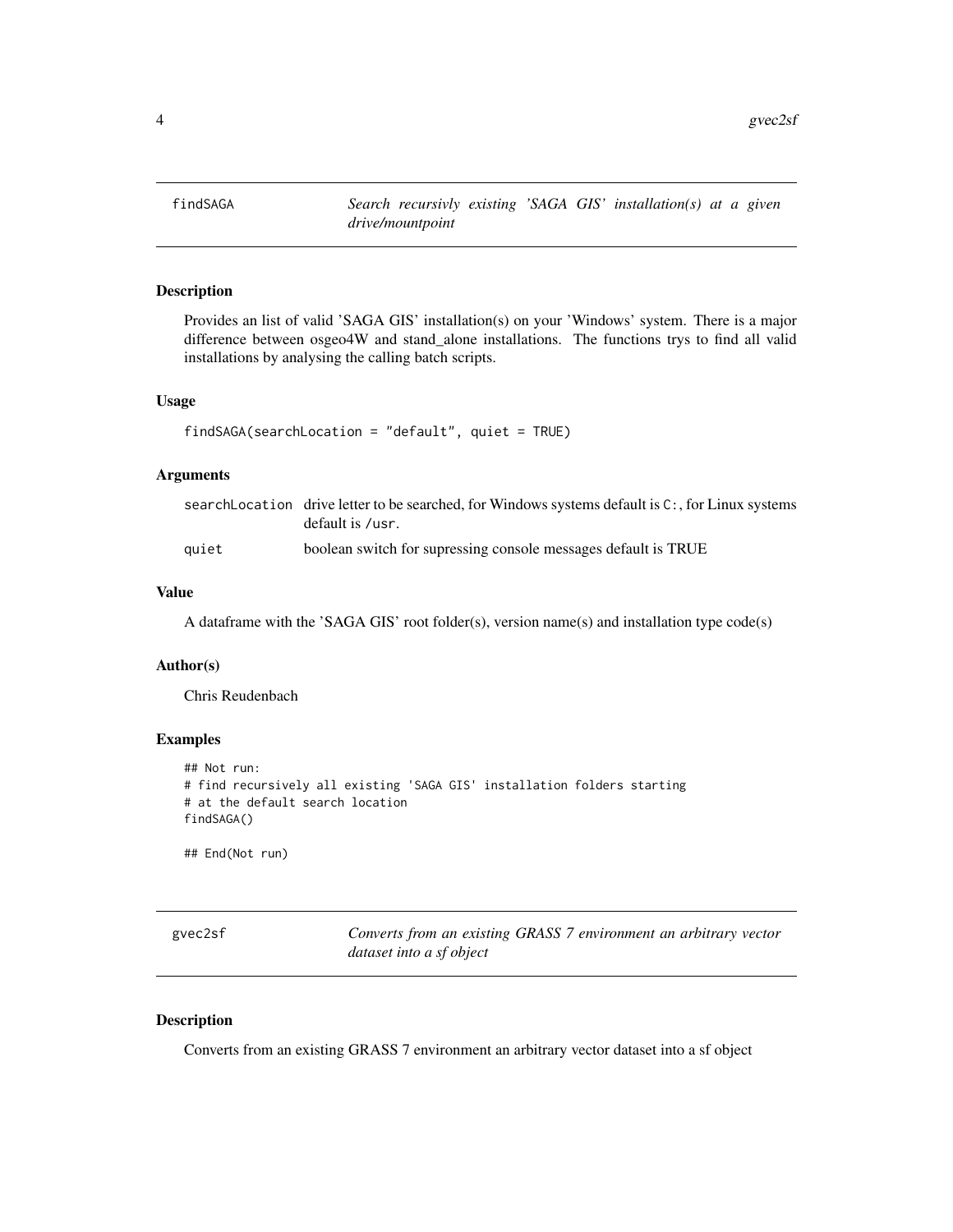<span id="page-3-0"></span>

#### Description

Provides an list of valid 'SAGA GIS' installation(s) on your 'Windows' system. There is a major difference between osgeo4W and stand\_alone installations. The functions trys to find all valid installations by analysing the calling batch scripts.

#### Usage

```
findSAGA(searchLocation = "default", quiet = TRUE)
```
#### Arguments

|       | search Location drive letter to be searched, for Windows systems default is $C:$ , for Linux systems |
|-------|------------------------------------------------------------------------------------------------------|
|       | default is /usr.                                                                                     |
| auiet | boolean switch for supressing console messages default is TRUE                                       |

#### Value

A dataframe with the 'SAGA GIS' root folder(s), version name(s) and installation type code(s)

#### Author(s)

Chris Reudenbach

#### Examples

```
## Not run:
# find recursively all existing 'SAGA GIS' installation folders starting
# at the default search location
findSAGA()
```
## End(Not run)

| gvec2sf | Converts from an existing GRASS 7 environment an arbitrary vector |
|---------|-------------------------------------------------------------------|
|         | dataset into a sf object                                          |

#### Description

Converts from an existing GRASS 7 environment an arbitrary vector dataset into a sf object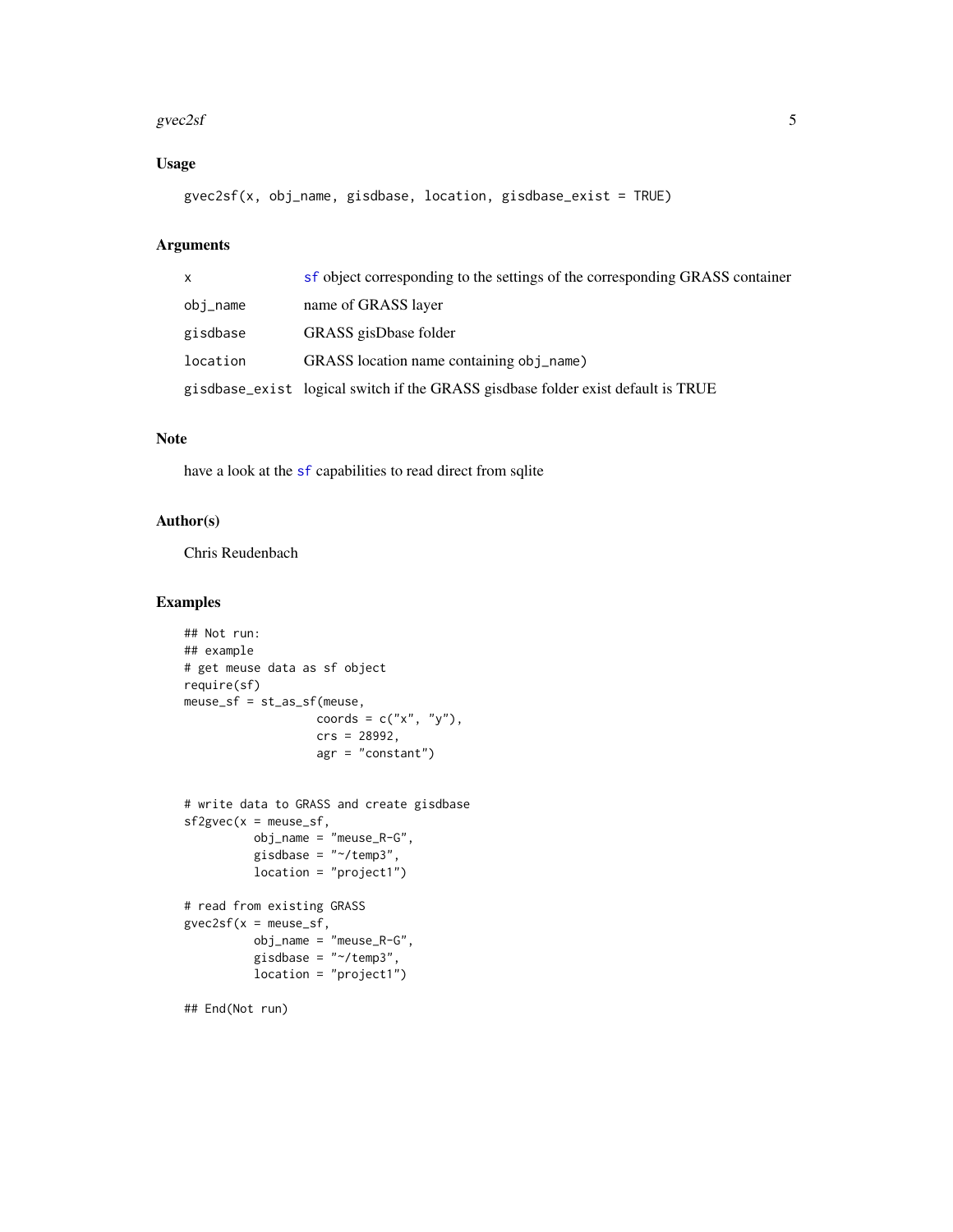#### <span id="page-4-0"></span> $\frac{\text{g}\text{vec}2\text{s}}{5}$

#### Usage

gvec2sf(x, obj\_name, gisdbase, location, gisdbase\_exist = TRUE)

#### Arguments

| $\mathsf{x}$ | sf object corresponding to the settings of the corresponding GRASS container     |
|--------------|----------------------------------------------------------------------------------|
| obj_name     | name of GRASS layer                                                              |
| gisdbase     | GRASS gisDbase folder                                                            |
| location     | GRASS location name containing obj_name)                                         |
|              | gisdbase_exist logical switch if the GRASS gisdbase folder exist default is TRUE |

#### Note

have a look at the [sf](#page-0-0) capabilities to read direct from sqlite

#### Author(s)

Chris Reudenbach

#### Examples

```
## Not run:
## example
# get meuse data as sf object
require(sf)
meuse_sf = st_as_sf(meuse,
                   coords = c("x", "y"),
                   crs = 28992,
                   agr = "constant")
# write data to GRASS and create gisdbase
sf2gvec(x = meuse_s f,obj_name = "meuse_R-G",
          gisdbase = "~/temp3",
          location = "project1")
# read from existing GRASS
gvec2sf(x = meuse_s f,obj_name = "meuse_R-G",
          gisdbase = "~/temp3",
         location = "project1")
```
## End(Not run)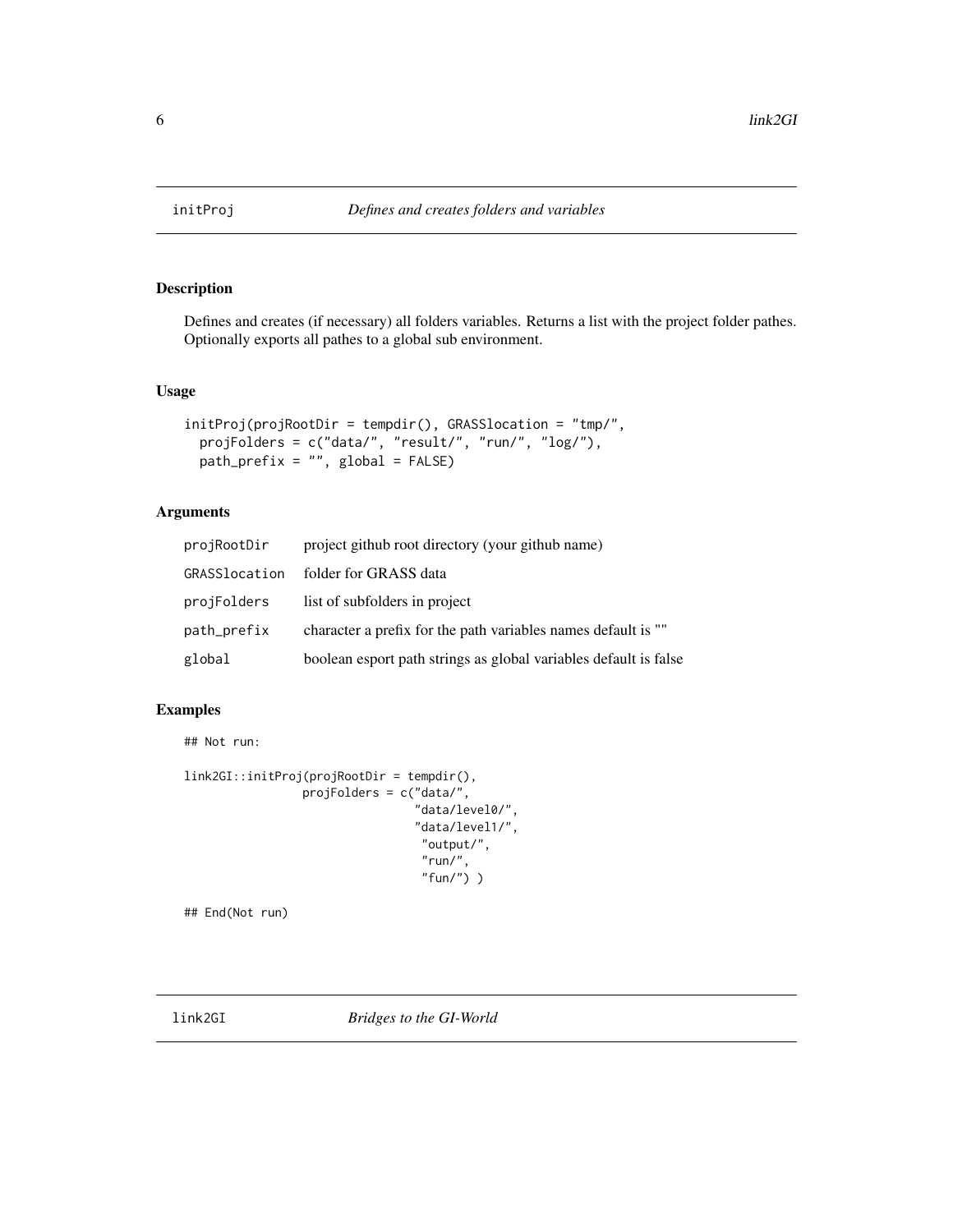<span id="page-5-0"></span>

#### Description

Defines and creates (if necessary) all folders variables. Returns a list with the project folder pathes. Optionally exports all pathes to a global sub environment.

#### Usage

```
initProj(projRootDir = tempdir(), GRASSlocation = "tmp/",
 projFolders = c("data/", "result/", "run/", "log/"),
 path\_prefix = "", global = FALSE)
```
#### Arguments

| projRootDir   | project github root directory (your github name)                 |
|---------------|------------------------------------------------------------------|
| GRASSlocation | folder for GRASS data                                            |
| projFolders   | list of subfolders in project                                    |
| path_prefix   | character a prefix for the path variables names default is ""    |
| global        | boolean esport path strings as global variables default is false |

#### Examples

```
## Not run:
```

```
link2GI::initProj(projRootDir = tempdir(),
                 projFolders = c("data/",
                                 "data/level0/",
                                 "data/level1/",
                                  "output/",
                                   "run/",
                                   "fun/") )
```
## End(Not run)

link2GI *Bridges to the GI-World*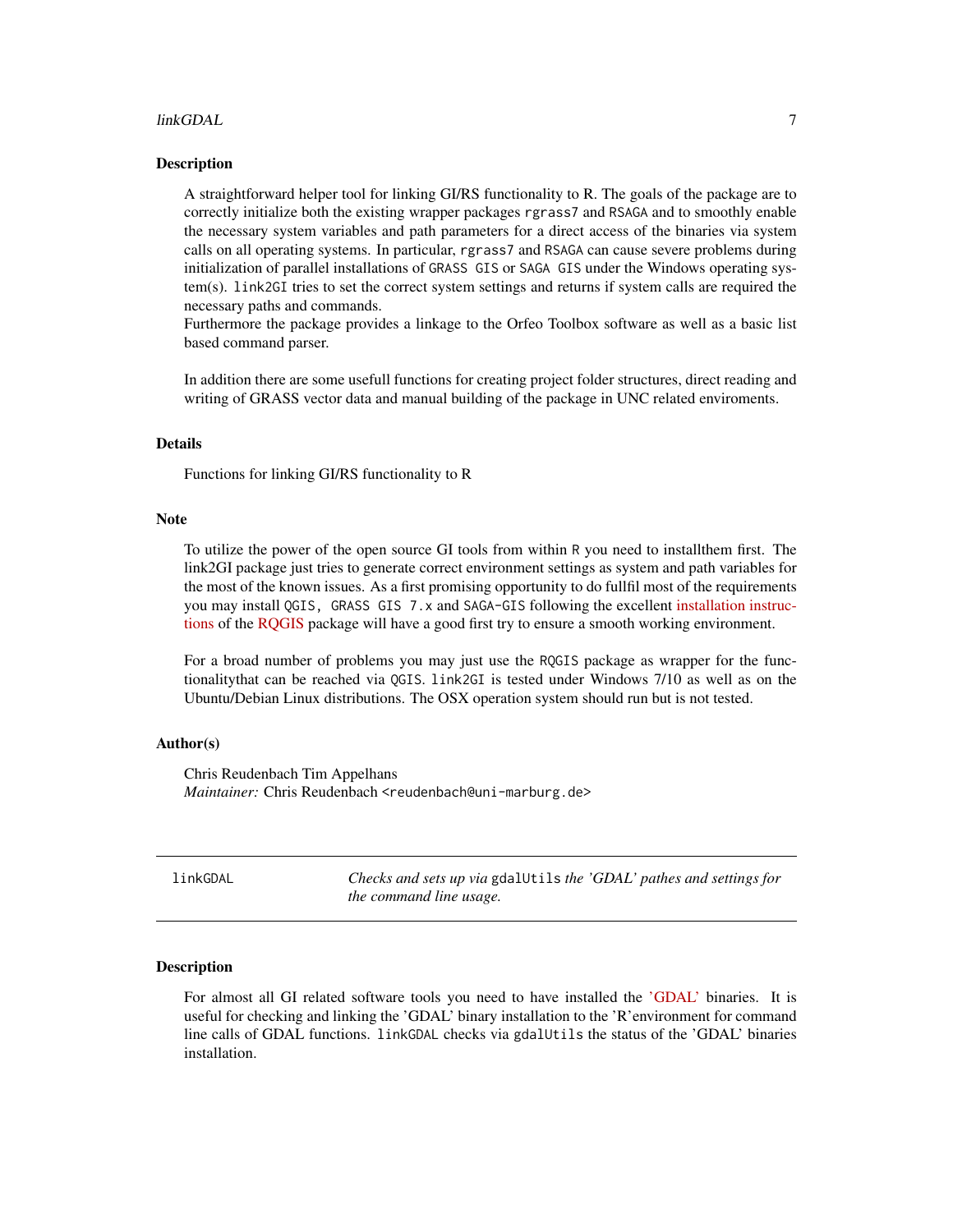#### <span id="page-6-0"></span>linkGDAL 2008 and 2008 and 2008 and 2008 and 2008 and 2008 and 2008 and 2008 and 2008 and 2008 and 2008 and 20

#### Description

A straightforward helper tool for linking GI/RS functionality to R. The goals of the package are to correctly initialize both the existing wrapper packages rgrass7 and RSAGA and to smoothly enable the necessary system variables and path parameters for a direct access of the binaries via system calls on all operating systems. In particular, rgrass7 and RSAGA can cause severe problems during initialization of parallel installations of GRASS GIS or SAGA GIS under the Windows operating system(s). link2GI tries to set the correct system settings and returns if system calls are required the necessary paths and commands.

Furthermore the package provides a linkage to the Orfeo Toolbox software as well as a basic list based command parser.

In addition there are some usefull functions for creating project folder structures, direct reading and writing of GRASS vector data and manual building of the package in UNC related enviroments.

#### Details

Functions for linking GI/RS functionality to R

#### **Note**

To utilize the power of the open source GI tools from within R you need to installthem first. The link2GI package just tries to generate correct environment settings as system and path variables for the most of the known issues. As a first promising opportunity to do fullfil most of the requirements you may install QGIS, GRASS GIS 7.x and SAGA-GIS following the excellent [installation instruc](https://github.com/jannes-m/RQGIS/blob/master/vignettes/install_guide.Rmd)[tions](https://github.com/jannes-m/RQGIS/blob/master/vignettes/install_guide.Rmd) of the [RQGIS](https://CRAN.R-project.org/package=RQGIS) package will have a good first try to ensure a smooth working environment.

For a broad number of problems you may just use the RQGIS package as wrapper for the functionalitythat can be reached via QGIS. link2GI is tested under Windows 7/10 as well as on the Ubuntu/Debian Linux distributions. The OSX operation system should run but is not tested.

#### Author(s)

Chris Reudenbach Tim Appelhans *Maintainer:* Chris Reudenbach <reudenbach@uni-marburg.de>

| linkGDAL | Checks and sets up via gdalUtils the 'GDAL' pathes and settings for |
|----------|---------------------------------------------------------------------|
|          | the command line usage.                                             |

#### **Description**

For almost all GI related software tools you need to have installed the ['GDAL'](http://www.gdal.org/) binaries. It is useful for checking and linking the 'GDAL' binary installation to the 'R'environment for command line calls of GDAL functions. linkGDAL checks via gdalUtils the status of the 'GDAL' binaries installation.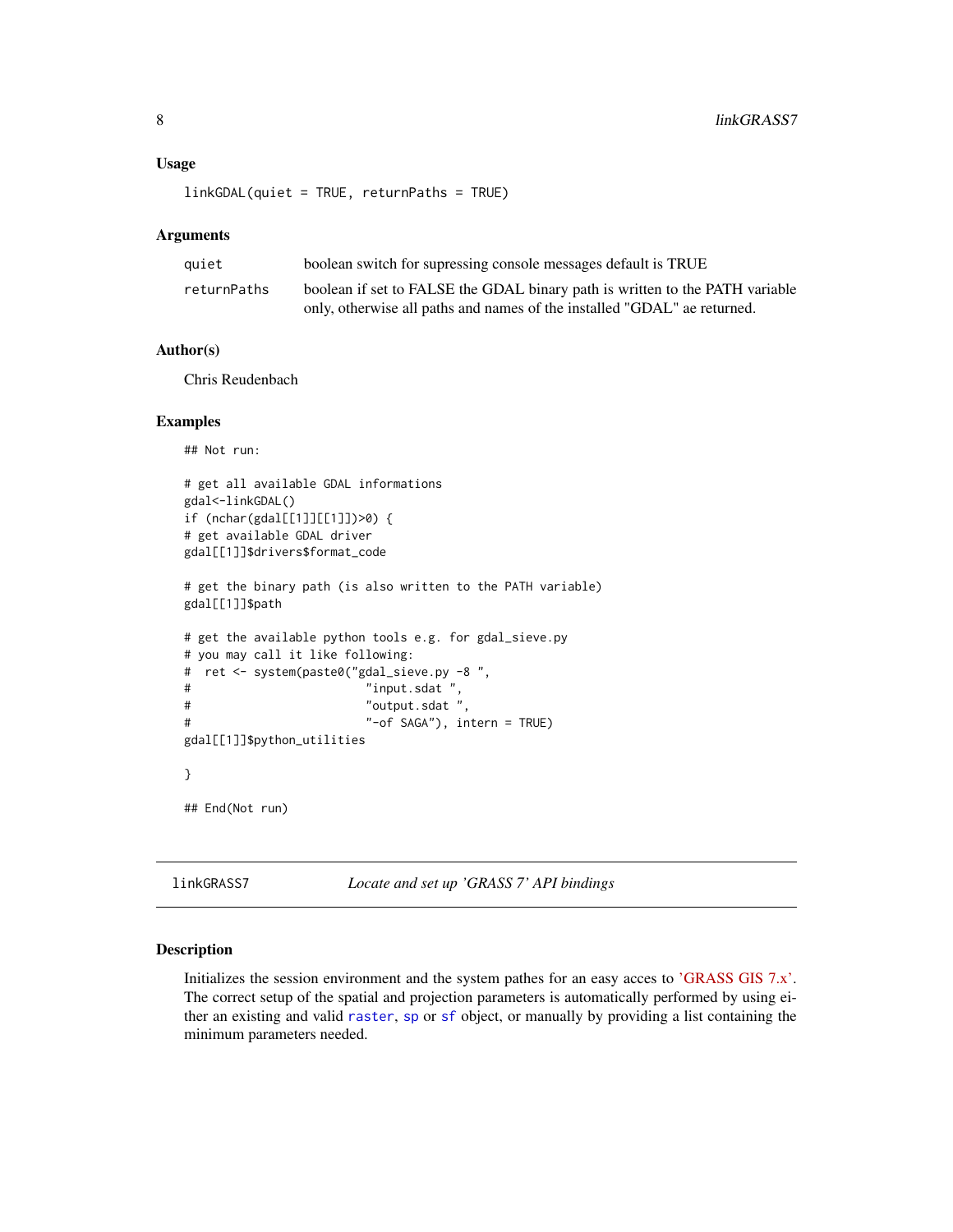#### <span id="page-7-0"></span>Usage

linkGDAL(quiet = TRUE, returnPaths = TRUE)

#### Arguments

| quiet       | boolean switch for supressing console messages default is TRUE               |
|-------------|------------------------------------------------------------------------------|
| returnPaths | boolean if set to FALSE the GDAL binary path is written to the PATH variable |
|             | only, otherwise all paths and names of the installed "GDAL" ae returned.     |

#### Author(s)

Chris Reudenbach

#### Examples

## Not run:

```
# get all available GDAL informations
gdal<-linkGDAL()
if (nchar(gdal[[1]][[1]])>0) {
# get available GDAL driver
gdal[[1]]$drivers$format_code
# get the binary path (is also written to the PATH variable)
gdal[[1]]$path
# get the available python tools e.g. for gdal_sieve.py
# you may call it like following:
# ret <- system(paste0("gdal_sieve.py -8 ",
# "input.sdat ",
# "output.sdat ",
# "-of SAGA"), intern = TRUE)
gdal[[1]]$python_utilities
}
## End(Not run)
```
linkGRASS7 *Locate and set up 'GRASS 7' API bindings*

#### Description

Initializes the session environment and the system pathes for an easy acces to ['GRASS GIS 7.x'.](https://grass.osgeo.org/) The correct setup of the spatial and projection parameters is automatically performed by using either an existing and valid [raster](#page-0-0), [sp](#page-0-0) or [sf](#page-0-0) object, or manually by providing a list containing the minimum parameters needed.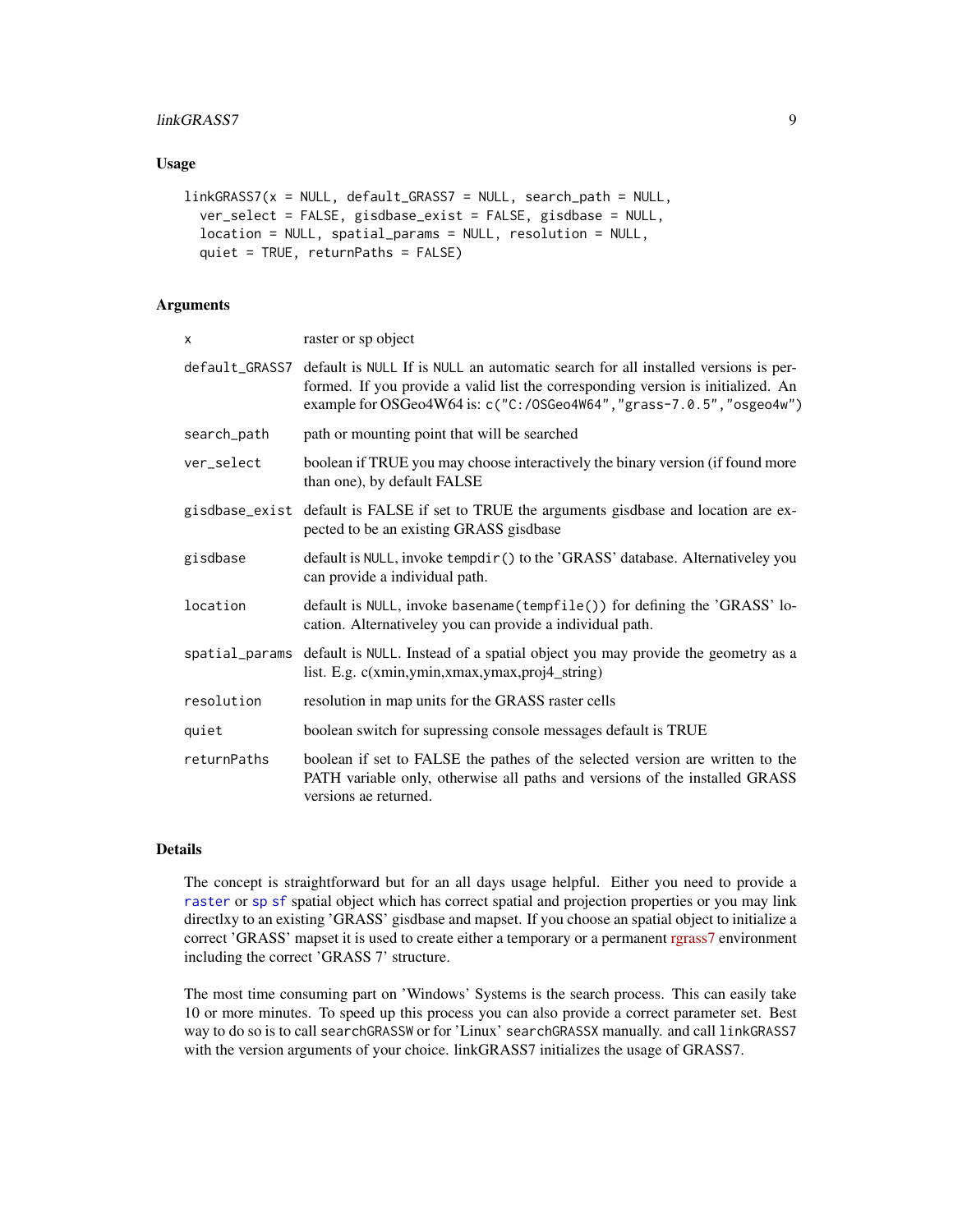#### <span id="page-8-0"></span>linkGRASS7 9

#### Usage

```
linkGRASS7(x = NULL, default_GRASS7 = NULL, search_path = NULL,
  ver_select = FALSE, gisdbase_exist = FALSE, gisdbase = NULL,
  location = NULL, spatial_params = NULL, resolution = NULL,
  quiet = TRUE, returnPaths = FALSE)
```
#### Arguments

| $\mathsf{x}$ | raster or sp object                                                                                                                                                                                                                                           |
|--------------|---------------------------------------------------------------------------------------------------------------------------------------------------------------------------------------------------------------------------------------------------------------|
|              | default_GRASS7 default is NULL If is NULL an automatic search for all installed versions is per-<br>formed. If you provide a valid list the corresponding version is initialized. An<br>example for OSGeo4W64 is: c("C:/0SGeo4W64", "grass-7.0.5", "osgeo4w") |
| search_path  | path or mounting point that will be searched                                                                                                                                                                                                                  |
| ver select   | boolean if TRUE you may choose interactively the binary version (if found more<br>than one), by default FALSE                                                                                                                                                 |
|              | gisdbase_exist default is FALSE if set to TRUE the arguments gisdbase and location are ex-<br>pected to be an existing GRASS gisdbase                                                                                                                         |
| gisdbase     | default is NULL, invoke tempdir() to the 'GRASS' database. Alternativeley you<br>can provide a individual path.                                                                                                                                               |
| location     | default is NULL, invoke basename (tempfile()) for defining the 'GRASS' lo-<br>cation. Alternativeley you can provide a individual path.                                                                                                                       |
|              | spatial_params default is NULL. Instead of a spatial object you may provide the geometry as a<br>list. E.g. c(xmin,ymin,xmax,ymax,proj4_string)                                                                                                               |
| resolution   | resolution in map units for the GRASS raster cells                                                                                                                                                                                                            |
| quiet        | boolean switch for supressing console messages default is TRUE                                                                                                                                                                                                |
| returnPaths  | boolean if set to FALSE the pathes of the selected version are written to the<br>PATH variable only, otherwise all paths and versions of the installed GRASS<br>versions ae returned.                                                                         |

#### Details

The concept is straightforward but for an all days usage helpful. Either you need to provide a [raster](#page-0-0) or [sp](#page-0-0) [sf](#page-0-0) spatial object which has correct spatial and projection properties or you may link directlxy to an existing 'GRASS' gisdbase and mapset. If you choose an spatial object to initialize a correct 'GRASS' mapset it is used to create either a temporary or a permanent [rgrass7](https://CRAN.R-project.org/package=rgrass7) environment including the correct 'GRASS 7' structure.

The most time consuming part on 'Windows' Systems is the search process. This can easily take 10 or more minutes. To speed up this process you can also provide a correct parameter set. Best way to do so is to call searchGRASSW or for 'Linux' searchGRASSX manually. and call linkGRASS7 with the version arguments of your choice. linkGRASS7 initializes the usage of GRASS7.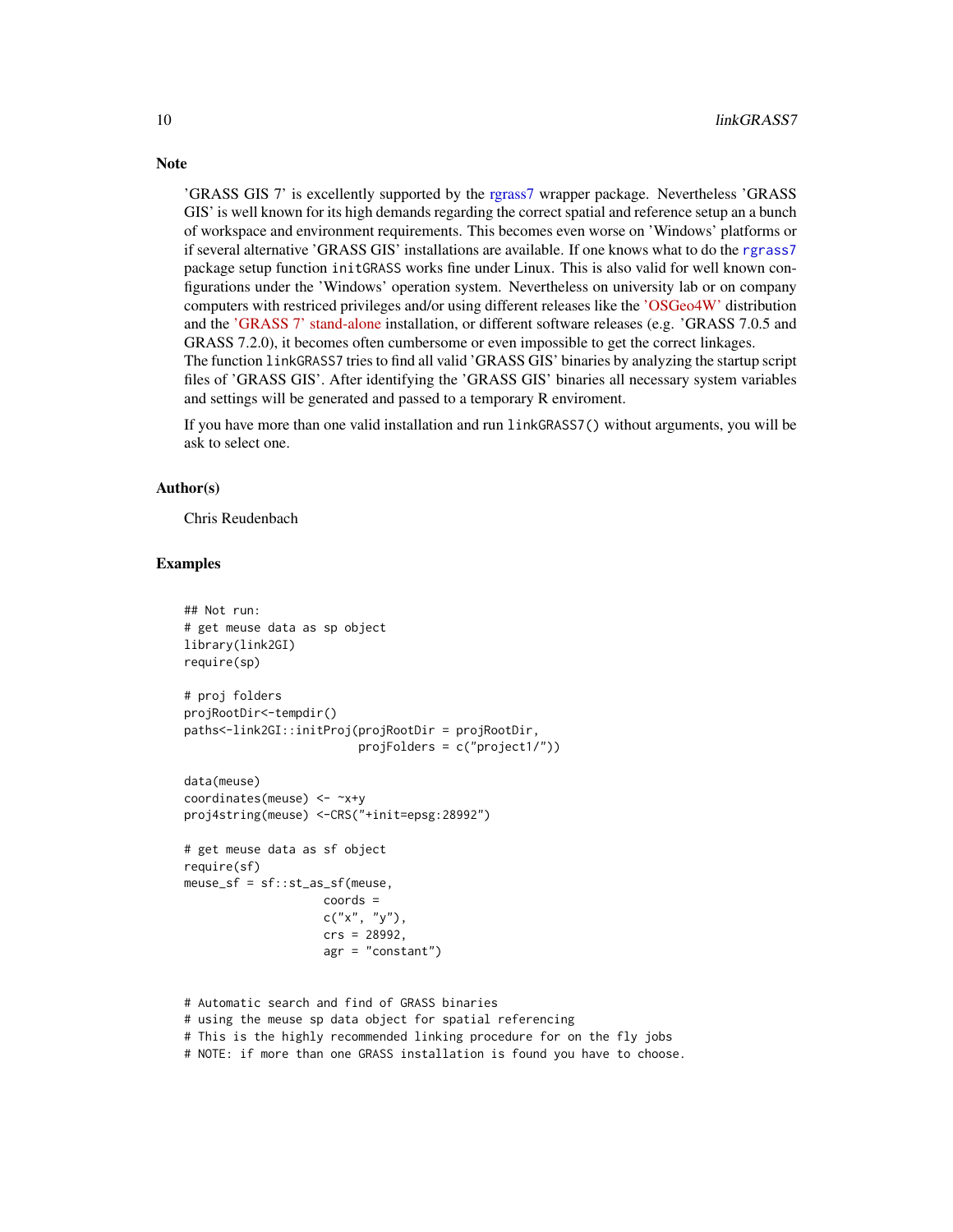'GRASS GIS 7' is excellently supported by the [rgrass7](#page-0-0) wrapper package. Nevertheless 'GRASS GIS' is well known for its high demands regarding the correct spatial and reference setup an a bunch of workspace and environment requirements. This becomes even worse on 'Windows' platforms or if several alternative 'GRASS GIS' installations are available. If one knows what to do the [rgrass7](#page-0-0) package setup function initGRASS works fine under Linux. This is also valid for well known configurations under the 'Windows' operation system. Nevertheless on university lab or on company computers with restriced privileges and/or using different releases like the ['OSGeo4W'](http://trac.osgeo.org/osgeo4w/) distribution and the ['GRASS 7' stand-alone](https://grass.osgeo.org/download/software/ms-windows/#stand-alone) installation, or different software releases (e.g. 'GRASS 7.0.5 and GRASS 7.2.0), it becomes often cumbersome or even impossible to get the correct linkages. The function linkGRASS7 tries to find all valid 'GRASS GIS' binaries by analyzing the startup script

files of 'GRASS GIS'. After identifying the 'GRASS GIS' binaries all necessary system variables and settings will be generated and passed to a temporary R enviroment.

If you have more than one valid installation and run linkGRASS7() without arguments, you will be ask to select one.

#### Author(s)

Chris Reudenbach

#### Examples

```
## Not run:
# get meuse data as sp object
library(link2GI)
require(sp)
# proj folders
projRootDir<-tempdir()
paths<-link2GI::initProj(projRootDir = projRootDir,
                         projFolders = c("project1/"))
data(meuse)
coordinates(meuse) <- ~x+y
proj4string(meuse) <-CRS("+init=epsg:28992")
# get meuse data as sf object
require(sf)
meuse_s f = sf::st_as_s f (meuse,coords =
                    c("x", "y"),
                    crs = 28992,
                    agr = "constant")
# Automatic search and find of GRASS binaries
```
# using the meuse sp data object for spatial referencing # This is the highly recommended linking procedure for on the fly jobs

<span id="page-9-0"></span>

### Note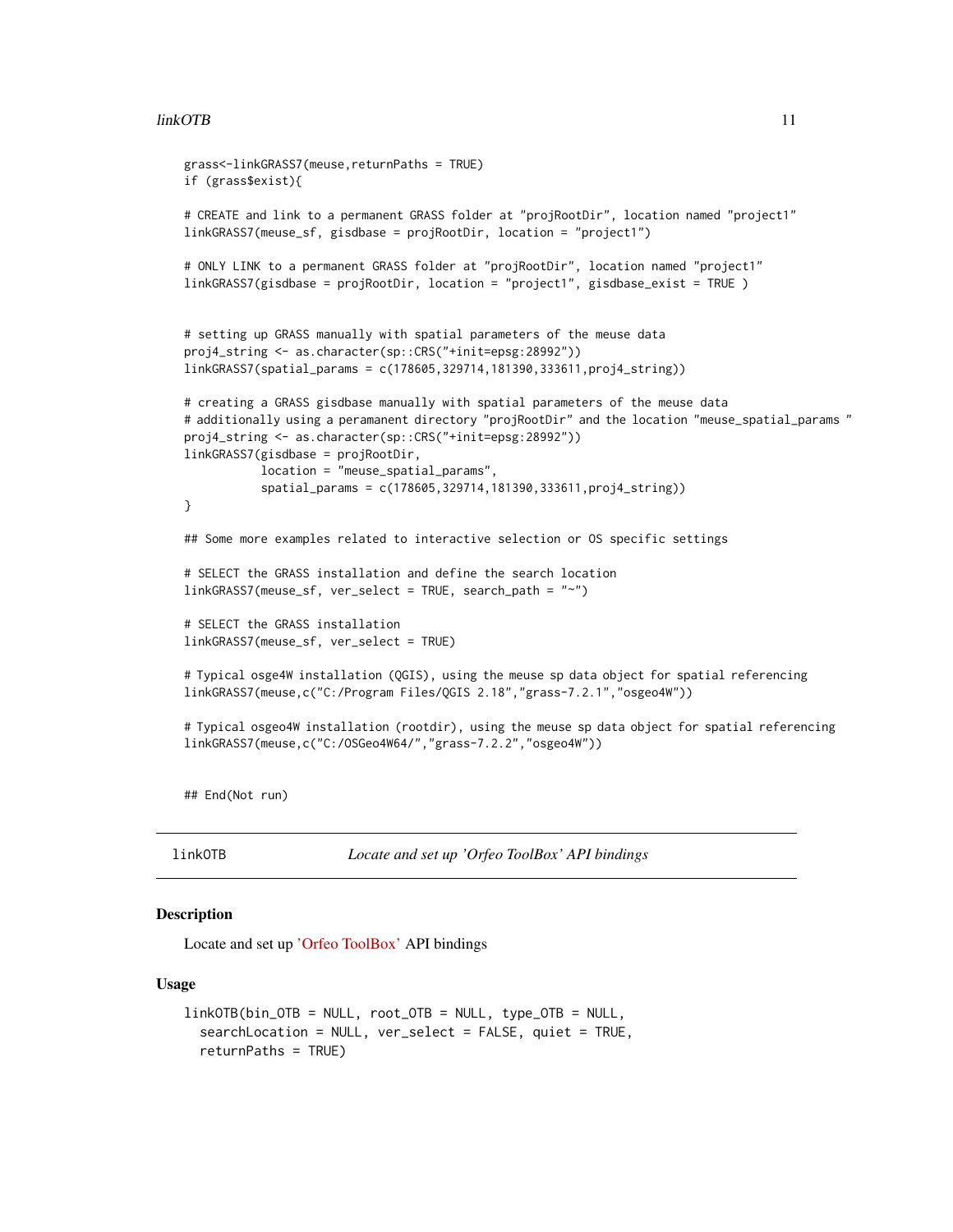#### <span id="page-10-0"></span>linkOTB 11

```
grass<-linkGRASS7(meuse,returnPaths = TRUE)
if (grass$exist){
# CREATE and link to a permanent GRASS folder at "projRootDir", location named "project1"
linkGRASS7(meuse_sf, gisdbase = projRootDir, location = "project1")
# ONLY LINK to a permanent GRASS folder at "projRootDir", location named "project1"
linkGRASS7(gisdbase = projRootDir, location = "project1", gisdbase_exist = TRUE )
# setting up GRASS manually with spatial parameters of the meuse data
proj4_string <- as.character(sp::CRS("+init=epsg:28992"))
linkGRASS7(spatial_params = c(178605,329714,181390,333611,proj4_string))
# creating a GRASS gisdbase manually with spatial parameters of the meuse data
# additionally using a peramanent directory "projRootDir" and the location "meuse_spatial_params "
proj4_string <- as.character(sp::CRS("+init=epsg:28992"))
linkGRASS7(gisdbase = projRootDir,
           location = "meuse_spatial_params",
           spatial_params = c(178605,329714,181390,333611,proj4_string))
}
## Some more examples related to interactive selection or OS specific settings
# SELECT the GRASS installation and define the search location
linkGRASS7(meuse_sf, ver_select = TRUE, search_path = "~")
# SELECT the GRASS installation
linkGRASS7(meuse_sf, ver_select = TRUE)
# Typical osge4W installation (QGIS), using the meuse sp data object for spatial referencing
linkGRASS7(meuse,c("C:/Program Files/QGIS 2.18","grass-7.2.1","osgeo4W"))
# Typical osgeo4W installation (rootdir), using the meuse sp data object for spatial referencing
linkGRASS7(meuse,c("C:/OSGeo4W64/","grass-7.2.2","osgeo4W"))
```
## End(Not run)

linkOTB *Locate and set up 'Orfeo ToolBox' API bindings*

#### Description

Locate and set up ['Orfeo ToolBox'](https://www.orfeo-toolbox.org/) API bindings

#### Usage

```
linkOTB(bin_OTB = NULL, root_OTB = NULL, type_OTB = NULL,searchLocation = NULL, ver_select = FALSE, quiet = TRUE,
  returnPaths = TRUE)
```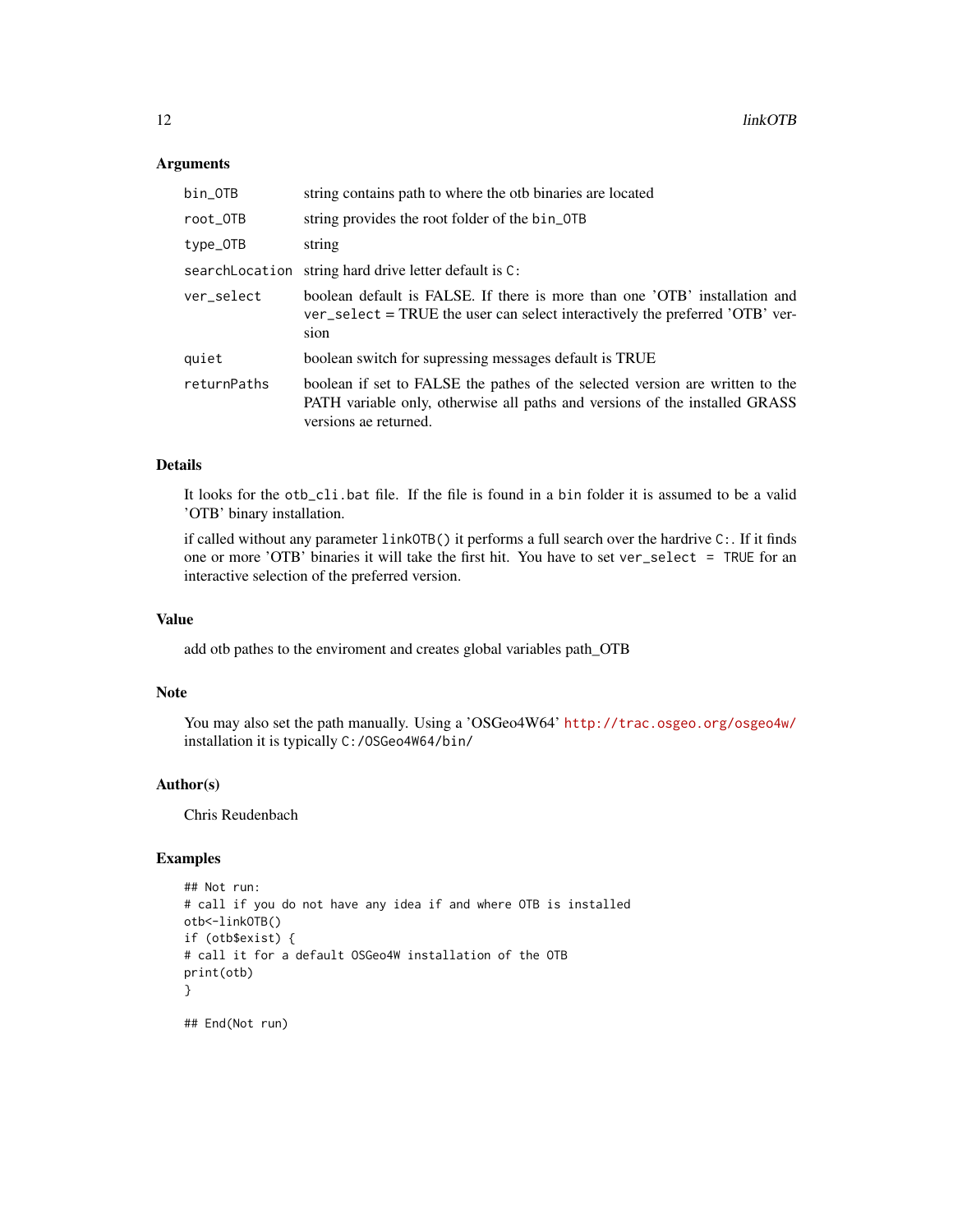#### Arguments

| bin_OTB        | string contains path to where the otb binaries are located                                                                                                                            |
|----------------|---------------------------------------------------------------------------------------------------------------------------------------------------------------------------------------|
| root OTB       | string provides the root folder of the bin_0TB                                                                                                                                        |
| type_OTB       | string                                                                                                                                                                                |
| searchLocation | string hard drive letter default is C:                                                                                                                                                |
| ver select     | boolean default is FALSE. If there is more than one 'OTB' installation and<br>ver_select = TRUE the user can select interactively the preferred 'OTB' ver-<br>sion                    |
| quiet          | boolean switch for supressing messages default is TRUE                                                                                                                                |
| returnPaths    | boolean if set to FALSE the pathes of the selected version are written to the<br>PATH variable only, otherwise all paths and versions of the installed GRASS<br>versions ae returned. |

#### Details

It looks for the otb\_cli.bat file. If the file is found in a bin folder it is assumed to be a valid 'OTB' binary installation.

if called without any parameter linkOTB() it performs a full search over the hardrive C:. If it finds one or more 'OTB' binaries it will take the first hit. You have to set ver\_select = TRUE for an interactive selection of the preferred version.

#### Value

add otb pathes to the enviroment and creates global variables path\_OTB

#### Note

You may also set the path manually. Using a 'OSGeo4W64' <http://trac.osgeo.org/osgeo4w/> installation it is typically C:/OSGeo4W64/bin/

#### Author(s)

Chris Reudenbach

#### Examples

```
## Not run:
# call if you do not have any idea if and where OTB is installed
otb<-linkOTB()
if (otb$exist) {
# call it for a default OSGeo4W installation of the OTB
print(otb)
}
## End(Not run)
```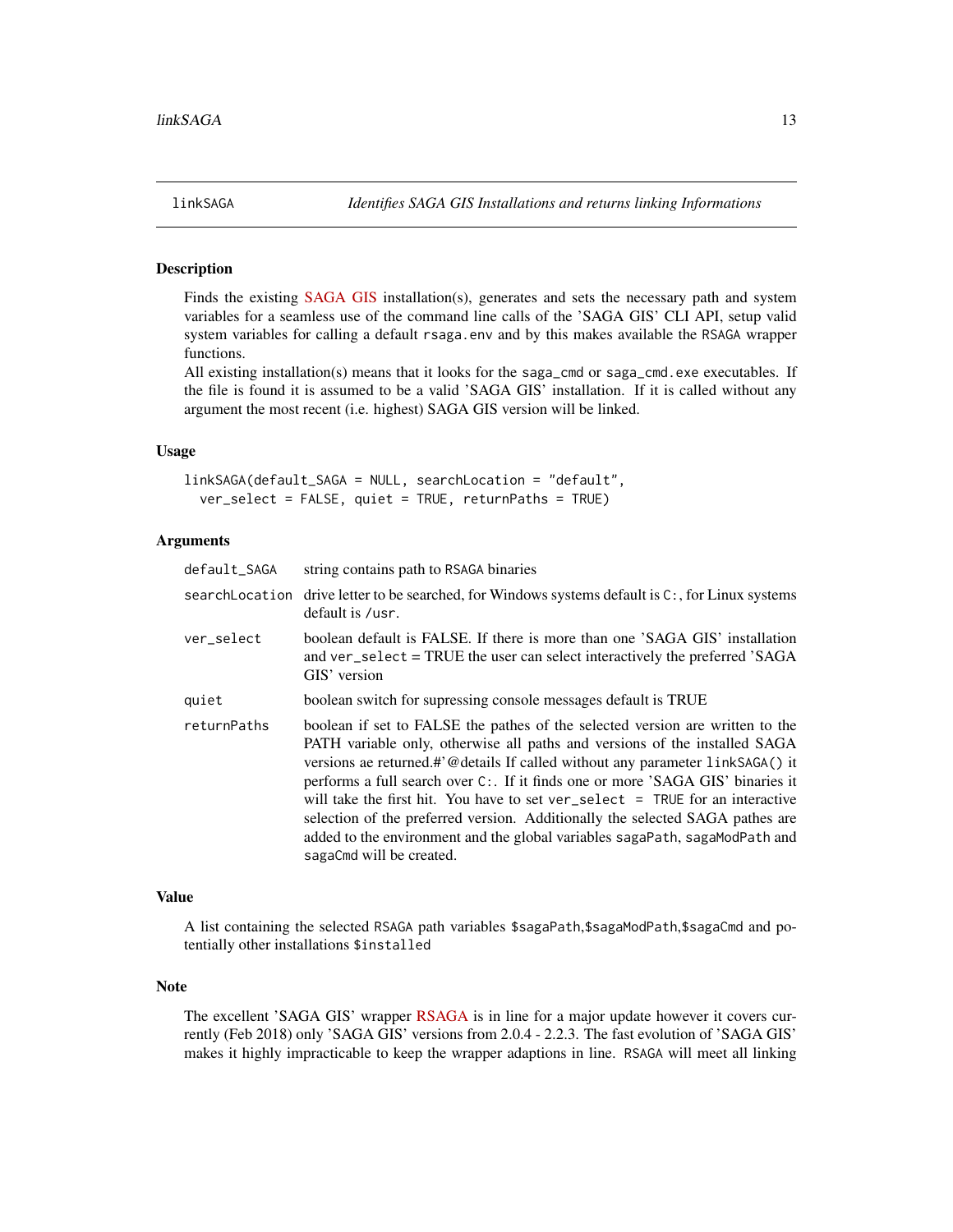<span id="page-12-0"></span>

#### Description

Finds the existing [SAGA GIS](http://www.saga-gis.org/) installation(s), generates and sets the necessary path and system variables for a seamless use of the command line calls of the 'SAGA GIS' CLI API, setup valid system variables for calling a default rsaga.env and by this makes available the RSAGA wrapper functions.

All existing installation(s) means that it looks for the saga\_cmd or saga\_cmd.exe executables. If the file is found it is assumed to be a valid 'SAGA GIS' installation. If it is called without any argument the most recent (i.e. highest) SAGA GIS version will be linked.

#### Usage

linkSAGA(default\_SAGA = NULL, searchLocation = "default", ver\_select = FALSE, quiet = TRUE, returnPaths = TRUE)

#### Arguments

| default_SAGA   | string contains path to RSAGA binaries                                                                                                                                                                                                                                                                                                                                                                                                                                                                                                                                                                        |
|----------------|---------------------------------------------------------------------------------------------------------------------------------------------------------------------------------------------------------------------------------------------------------------------------------------------------------------------------------------------------------------------------------------------------------------------------------------------------------------------------------------------------------------------------------------------------------------------------------------------------------------|
| searchLocation | drive letter to be searched, for Windows systems default is $C:$ , for Linux systems<br>default is /usr.                                                                                                                                                                                                                                                                                                                                                                                                                                                                                                      |
| ver select     | boolean default is FALSE. If there is more than one 'SAGA GIS' installation<br>and ver_select = TRUE the user can select interactively the preferred 'SAGA<br>GIS' version                                                                                                                                                                                                                                                                                                                                                                                                                                    |
| quiet          | boolean switch for supressing console messages default is TRUE                                                                                                                                                                                                                                                                                                                                                                                                                                                                                                                                                |
| returnPaths    | boolean if set to FALSE the pathes of the selected version are written to the<br>PATH variable only, otherwise all paths and versions of the installed SAGA<br>versions ae returned.#'@details If called without any parameter linkSAGA() it<br>performs a full search over C:. If it finds one or more 'SAGA GIS' binaries it<br>will take the first hit. You have to set ver select $=$ TRUE for an interactive<br>selection of the preferred version. Additionally the selected SAGA pathes are<br>added to the environment and the global variables sagaPath, sagaModPath and<br>sagaCmd will be created. |

#### Value

A list containing the selected RSAGA path variables \$sagaPath,\$sagaModPath,\$sagaCmd and potentially other installations \$installed

#### Note

The excellent 'SAGA GIS' wrapper [RSAGA](https://CRAN.R-project.org/package=RSAGA) is in line for a major update however it covers currently (Feb 2018) only 'SAGA GIS' versions from 2.0.4 - 2.2.3. The fast evolution of 'SAGA GIS' makes it highly impracticable to keep the wrapper adaptions in line. RSAGA will meet all linking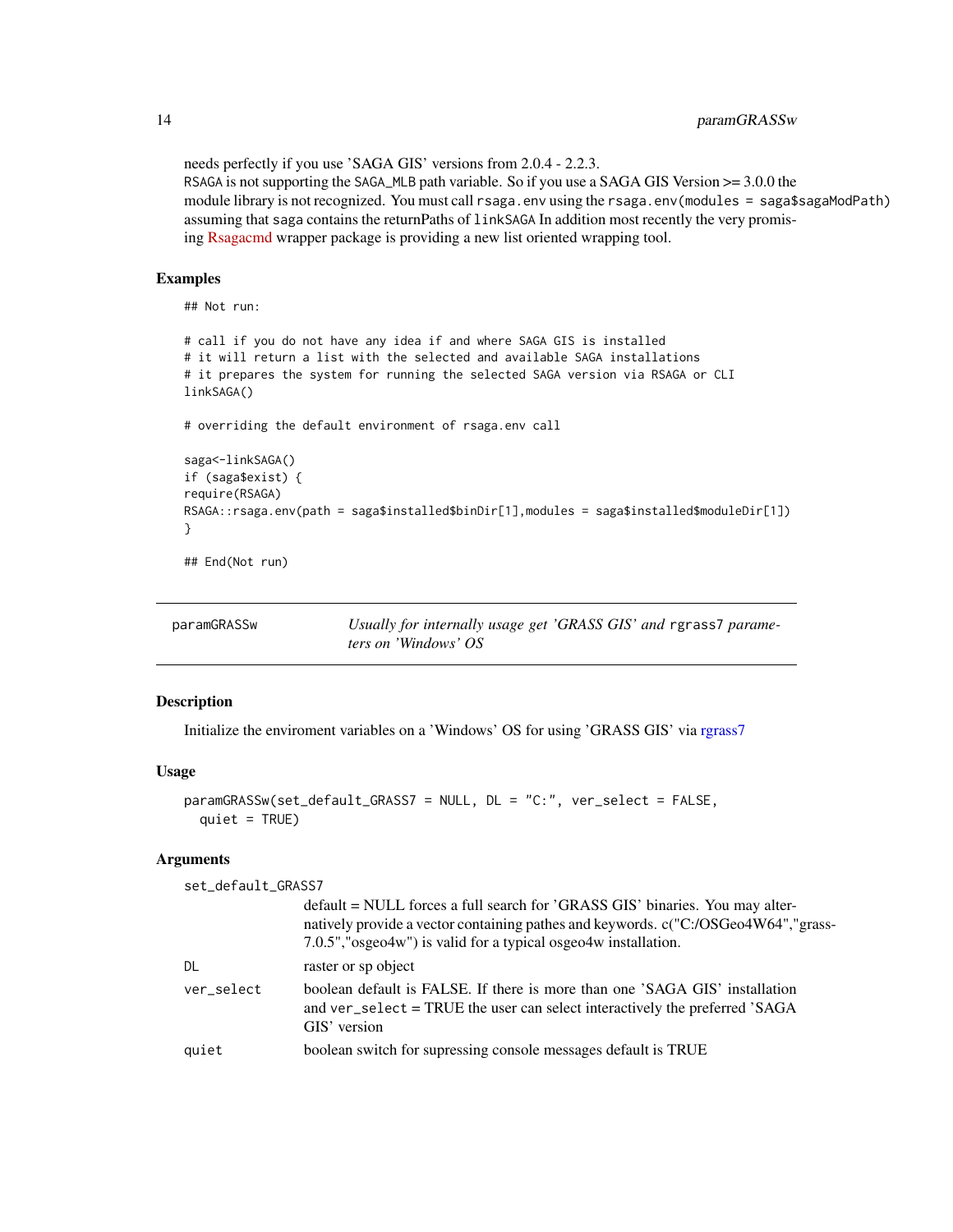needs perfectly if you use 'SAGA GIS' versions from 2.0.4 - 2.2.3. RSAGA is not supporting the SAGA\_MLB path variable. So if you use a SAGA GIS Version  $\ge$  3.0.0 the module library is not recognized. You must call rsaga.env using the rsaga.env(modules = saga\$sagaModPath) assuming that saga contains the returnPaths of linkSAGA In addition most recently the very promising [Rsagacmd](https://github.com/stevenpawley/Rsagacmd) wrapper package is providing a new list oriented wrapping tool.

#### Examples

## Not run:

```
# call if you do not have any idea if and where SAGA GIS is installed
# it will return a list with the selected and available SAGA installations
# it prepares the system for running the selected SAGA version via RSAGA or CLI
linkSAGA()
# overriding the default environment of rsaga.env call
saga<-linkSAGA()
if (saga$exist) {
require(RSAGA)
RSAGA::rsaga.env(path = saga$installed$binDir[1],modules = saga$installed$moduleDir[1])
}
```
## End(Not run)

| paramGRASSw | Usually for internally usage get 'GRASS GIS' and rgrass7 parame- |
|-------------|------------------------------------------------------------------|
|             | <i>ters on 'Windows' OS</i>                                      |

#### Description

Initialize the enviroment variables on a 'Windows' OS for using 'GRASS GIS' via [rgrass7](#page-0-0)

#### Usage

```
paramGRASSw(set_default_GRASS7 = NULL, DL = "C:", ver_select = FALSE,
 quiet = TRUE)
```
#### Arguments

set\_default\_GRASS7

|            | default = NULL forces a full search for 'GRASS GIS' binaries. You may alter-<br>natively provide a vector containing pathes and keywords. c("C:/OSGeo4W64","grass-<br>7.0.5", "osgeo4w") is valid for a typical osgeo4w installation. |
|------------|---------------------------------------------------------------------------------------------------------------------------------------------------------------------------------------------------------------------------------------|
| DL         | raster or sp object                                                                                                                                                                                                                   |
| ver select | boolean default is FALSE. If there is more than one 'SAGA GIS' installation<br>and ver_select = TRUE the user can select interactively the preferred 'SAGA<br>GIS' version                                                            |
| quiet      | boolean switch for supressing console messages default is TRUE                                                                                                                                                                        |
|            |                                                                                                                                                                                                                                       |

<span id="page-13-0"></span>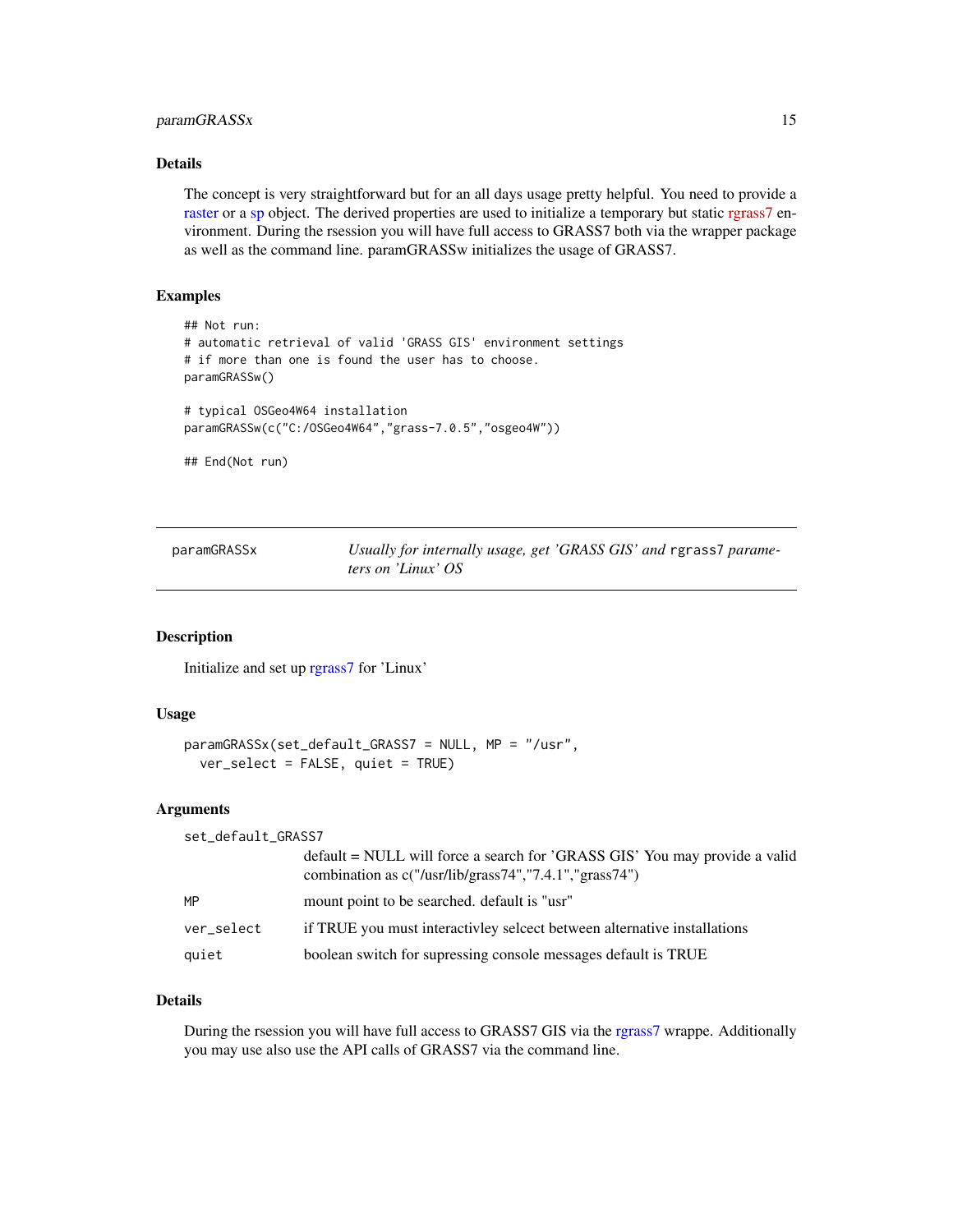#### <span id="page-14-0"></span>paramGRASSx 15

#### Details

The concept is very straightforward but for an all days usage pretty helpful. You need to provide a [raster](#page-0-0) or a [sp](#page-0-0) object. The derived properties are used to initialize a temporary but static [rgrass7](https://CRAN.R-project.org/package=rgrass7) environment. During the rsession you will have full access to GRASS7 both via the wrapper package as well as the command line. paramGRASSw initializes the usage of GRASS7.

#### Examples

```
## Not run:
# automatic retrieval of valid 'GRASS GIS' environment settings
# if more than one is found the user has to choose.
paramGRASSw()
# typical OSGeo4W64 installation
paramGRASSw(c("C:/OSGeo4W64","grass-7.0.5","osgeo4W"))
## End(Not run)
```
paramGRASSx *Usually for internally usage, get 'GRASS GIS' and* rgrass7 *parameters on 'Linux' OS*

#### Description

Initialize and set up [rgrass7](#page-0-0) for 'Linux'

#### Usage

```
paramGRASSx(set_default_GRASS7 = NULL, MP = "/usr",
  ver_select = FALSE, quiet = TRUE)
```
#### Arguments

| combination as $c("/usr/library/grav, "7.4.1", "grav, 74")$<br>MP<br>mount point to be searched. default is "usr" | set_default_GRASS7 |                                                                            |
|-------------------------------------------------------------------------------------------------------------------|--------------------|----------------------------------------------------------------------------|
|                                                                                                                   |                    | default = NULL will force a search for 'GRASS GIS' You may provide a valid |
|                                                                                                                   |                    |                                                                            |
| if TRUE you must interactivley select between alternative installations<br>ver_select                             |                    |                                                                            |
| boolean switch for supressing console messages default is TRUE<br>quiet                                           |                    |                                                                            |

#### Details

During the rsession you will have full access to GRASS7 GIS via the [rgrass7](#page-0-0) wrappe. Additionally you may use also use the API calls of GRASS7 via the command line.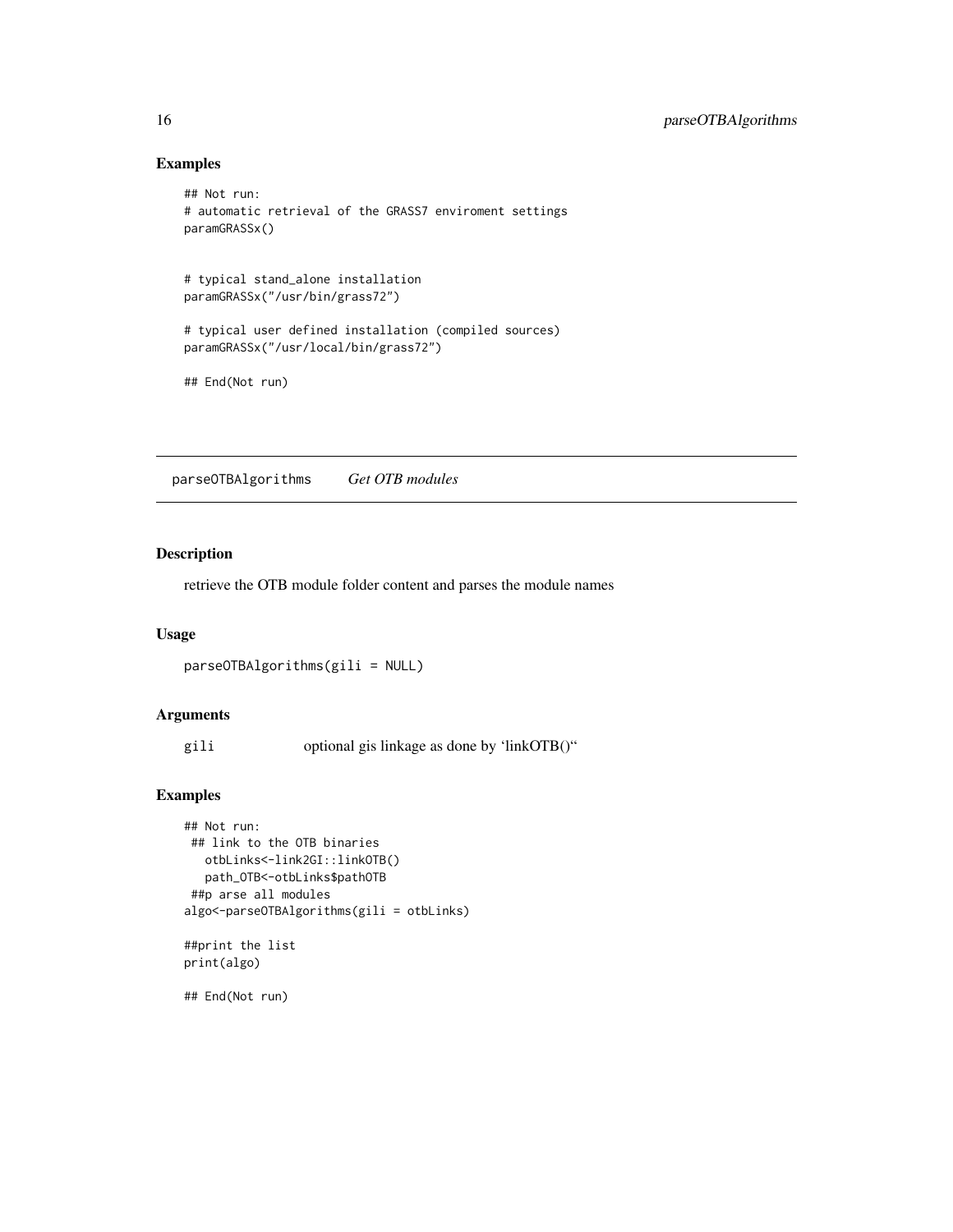#### Examples

```
## Not run:
# automatic retrieval of the GRASS7 enviroment settings
paramGRASSx()
# typical stand_alone installation
paramGRASSx("/usr/bin/grass72")
# typical user defined installation (compiled sources)
paramGRASSx("/usr/local/bin/grass72")
## End(Not run)
```
parseOTBAlgorithms *Get OTB modules*

#### Description

retrieve the OTB module folder content and parses the module names

#### Usage

parseOTBAlgorithms(gili = NULL)

#### Arguments

gili optional gis linkage as done by 'linkOTB()"

#### Examples

```
## Not run:
## link to the OTB binaries
  otbLinks<-link2GI::linkOTB()
  path_OTB<-otbLinks$pathOTB
##p arse all modules
algo<-parseOTBAlgorithms(gili = otbLinks)
```

```
##print the list
print(algo)
```
## End(Not run)

<span id="page-15-0"></span>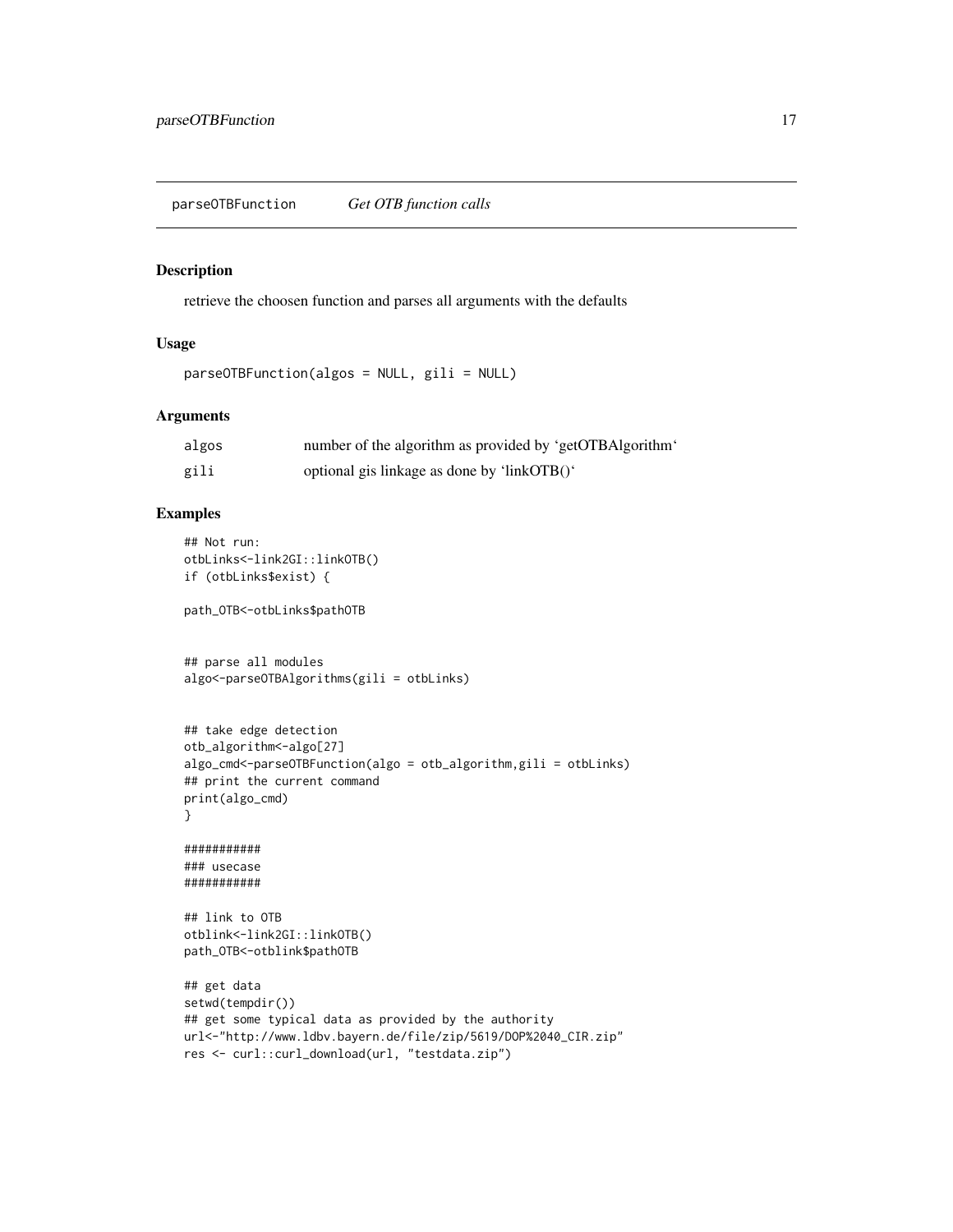<span id="page-16-0"></span>parseOTBFunction *Get OTB function calls*

#### Description

retrieve the choosen function and parses all arguments with the defaults

#### Usage

```
parseOTBFunction(algos = NULL, gili = NULL)
```
#### Arguments

| algos | number of the algorithm as provided by 'getOTBAlgorithm' |
|-------|----------------------------------------------------------|
| gili  | optional gis linkage as done by 'linkOTB()'              |

#### Examples

```
## Not run:
otbLinks<-link2GI::linkOTB()
if (otbLinks$exist) {
```
path\_OTB<-otbLinks\$pathOTB

```
## parse all modules
algo<-parseOTBAlgorithms(gili = otbLinks)
```

```
## take edge detection
otb_algorithm<-algo[27]
algo_cmd<-parseOTBFunction(algo = otb_algorithm,gili = otbLinks)
## print the current command
print(algo_cmd)
}
```
########### ### usecase ###########

## link to OTB otblink<-link2GI::linkOTB() path\_OTB<-otblink\$pathOTB

```
## get data
setwd(tempdir())
## get some typical data as provided by the authority
url<-"http://www.ldbv.bayern.de/file/zip/5619/DOP%2040_CIR.zip"
res <- curl::curl_download(url, "testdata.zip")
```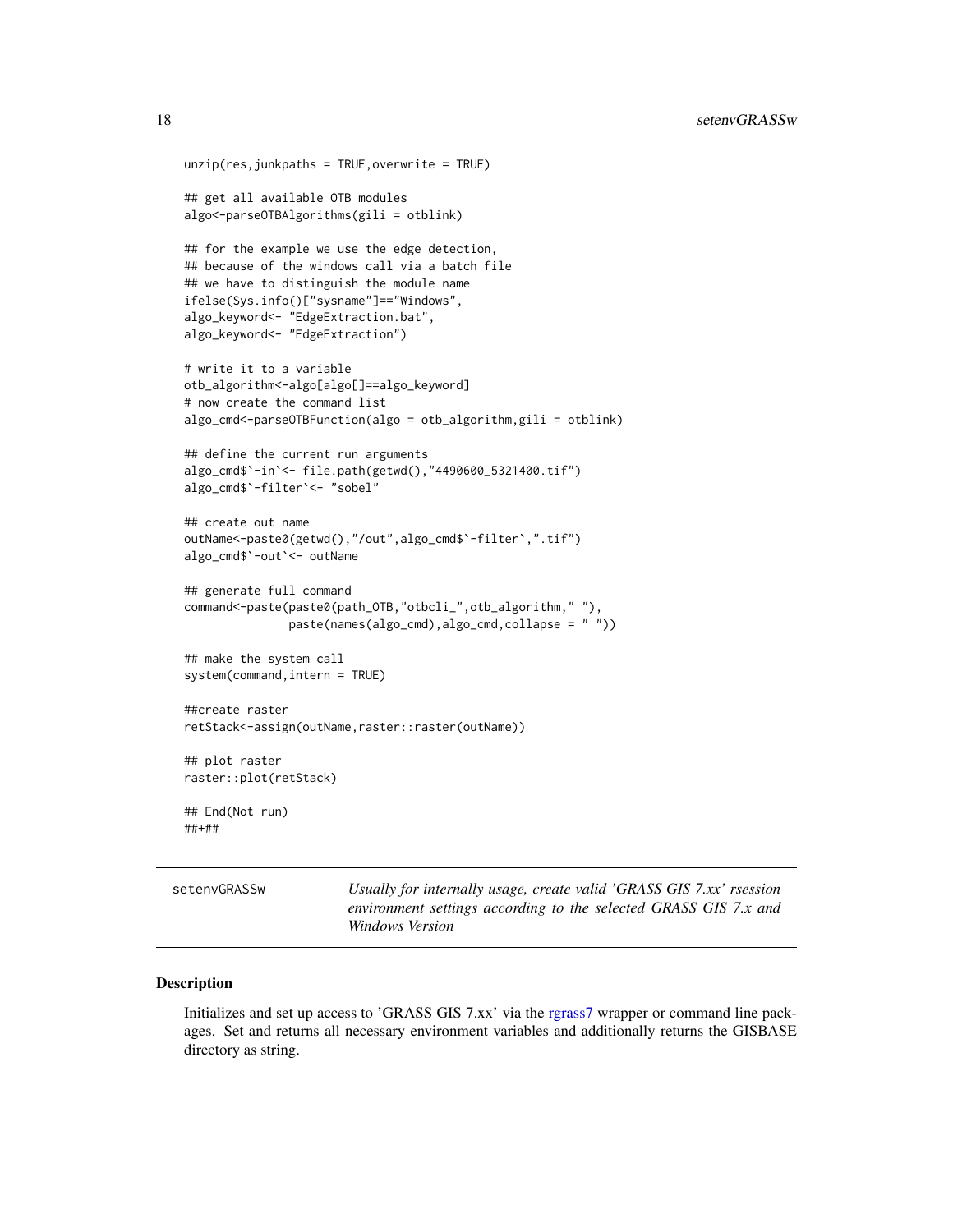```
unzip(res,junkpaths = TRUE,overwrite = TRUE)
## get all available OTB modules
algo<-parseOTBAlgorithms(gili = otblink)
## for the example we use the edge detection,
## because of the windows call via a batch file
## we have to distinguish the module name
ifelse(Sys.info()["sysname"]=="Windows",
algo_keyword<- "EdgeExtraction.bat",
algo_keyword<- "EdgeExtraction")
# write it to a variable
otb_algorithm<-algo[algo[]==algo_keyword]
# now create the command list
algo_cmd<-parseOTBFunction(algo = otb_algorithm,gili = otblink)
## define the current run arguments
algo_cmd$`-in`<- file.path(getwd(),"4490600_5321400.tif")
algo_cmd$`-filter`<- "sobel"
## create out name
outName<-paste0(getwd(),"/out",algo_cmd$`-filter`,".tif")
algo_cmd$`-out`<- outName
## generate full command
command<-paste(paste0(path_OTB,"otbcli_",otb_algorithm," "),
               paste(names(algo_cmd),algo_cmd,collapse = " "))
## make the system call
system(command,intern = TRUE)
##create raster
retStack<-assign(outName,raster::raster(outName))
## plot raster
raster::plot(retStack)
## End(Not run)
##+##
```
setenvGRASSw *Usually for internally usage, create valid 'GRASS GIS 7.xx' rsession environment settings according to the selected GRASS GIS 7.x and Windows Version*

#### Description

Initializes and set up access to 'GRASS GIS 7.xx' via the [rgrass7](#page-0-0) wrapper or command line packages. Set and returns all necessary environment variables and additionally returns the GISBASE directory as string.

<span id="page-17-0"></span>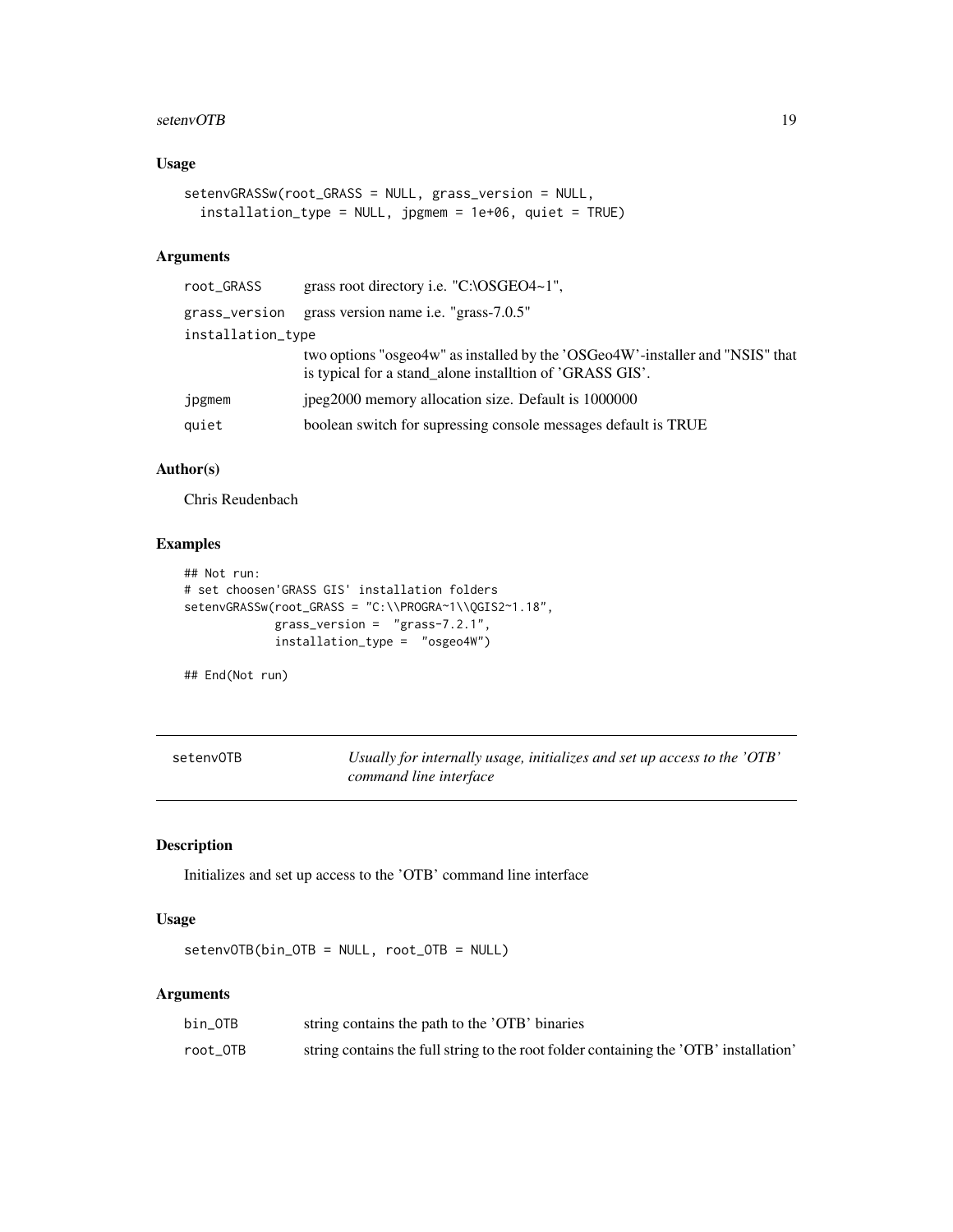#### <span id="page-18-0"></span>setenvOTB and the setenvolted by the setenvolted by the setenvolted by the setenvolted by the setenvolted by the setenvolted by the setenvolted by the setenvolted by the setenvolted by the setenvolted by the setenvolted by

#### Usage

```
setenvGRASSw(root_GRASS = NULL, grass_version = NULL,
  installation_type = NULL, jpgmem = 1e+06, quiet = TRUE)
```
#### Arguments

| root_GRASS        | grass root directory i.e. "C:\OSGEO4~1",                                                                                                  |
|-------------------|-------------------------------------------------------------------------------------------------------------------------------------------|
| grass_version     | grass version name i.e. "grass-7.0.5"                                                                                                     |
| installation_type |                                                                                                                                           |
|                   | two options "osgeo4w" as installed by the 'OSGeo4W'-installer and "NSIS" that<br>is typical for a stand_alone installtion of 'GRASS GIS'. |
| jpgmem            | jpeg2000 memory allocation size. Default is 1000000                                                                                       |
| quiet             | boolean switch for supressing console messages default is TRUE                                                                            |
|                   |                                                                                                                                           |

#### Author(s)

Chris Reudenbach

#### Examples

```
## Not run:
# set choosen'GRASS GIS' installation folders
setenvGRASSw(root_GRASS = "C:\\PROGRA~1\\QGIS2~1.18",
            grass_version = "grass-7.2.1",
            installation_type = "osgeo4W")
```
## End(Not run)

setenvOTB *Usually for internally usage, initializes and set up access to the 'OTB' command line interface*

#### Description

Initializes and set up access to the 'OTB' command line interface

#### Usage

setenvOTB(bin\_OTB = NULL, root\_OTB = NULL)

#### Arguments

| bin OTB  | string contains the path to the 'OTB' binaries                                        |
|----------|---------------------------------------------------------------------------------------|
| root_OTB | string contains the full string to the root folder containing the 'OTB' installation' |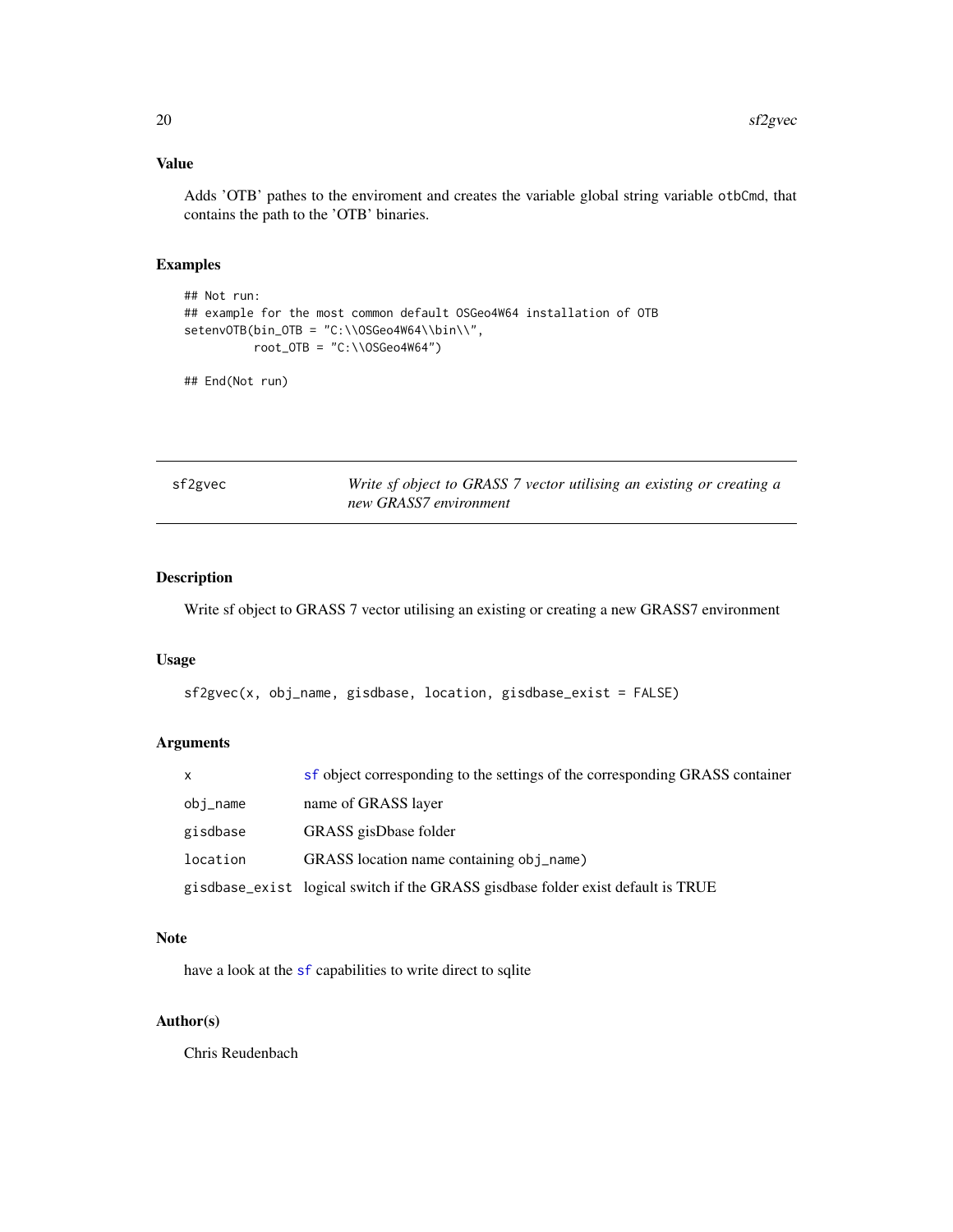#### <span id="page-19-0"></span>Value

Adds 'OTB' pathes to the enviroment and creates the variable global string variable otbCmd, that contains the path to the 'OTB' binaries.

#### Examples

```
## Not run:
## example for the most common default OSGeo4W64 installation of OTB
setenvOTB(bin_OTB = "C:\\OSGeo4W64\\bin\\",
         root_0TB = "C:\\\OSGeo4W64")
```
## End(Not run)

sf2gvec *Write sf object to GRASS 7 vector utilising an existing or creating a new GRASS7 environment*

#### Description

Write sf object to GRASS 7 vector utilising an existing or creating a new GRASS7 environment

#### Usage

```
sf2gvec(x, obj_name, gisdbase, location, gisdbase_exist = FALSE)
```
#### Arguments

| $\mathsf{x}$ | sf object corresponding to the settings of the corresponding GRASS container     |
|--------------|----------------------------------------------------------------------------------|
| obj_name     | name of GRASS layer                                                              |
| gisdbase     | GRASS gisDbase folder                                                            |
| location     | GRASS location name containing obj_name)                                         |
|              | gisdbase_exist logical switch if the GRASS gisdbase folder exist default is TRUE |

#### Note

have a look at the [sf](#page-0-0) capabilities to write direct to sqlite

#### Author(s)

Chris Reudenbach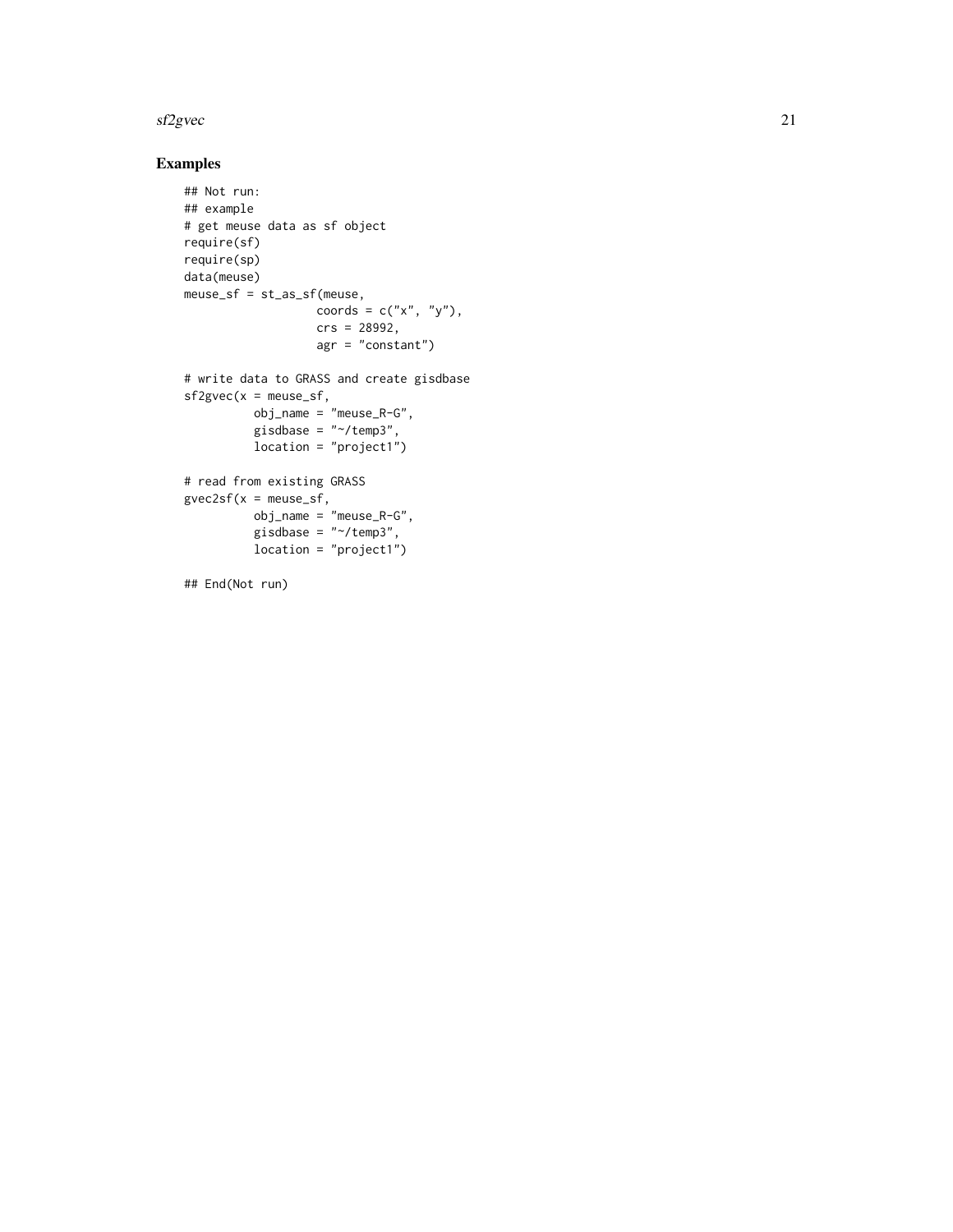#### sf2gvec 21

#### Examples

```
## Not run:
## example
# get meuse data as sf object
require(sf)
require(sp)
data(meuse)
meuse_sf = st_as_sf(meuse,
                  coords = c("x", "y"),
                   crs = 28992,
                   agr = "constant")
# write data to GRASS and create gisdbase
sf2gvec(x = meuse_s f,obj_name = "meuse_R-G",
          gisdbase = "~/temp3",
          location = "project1")
# read from existing GRASS
gvec2sf(x = meuse_sf,
          obj_name = "meuse_R-G",
          gisdbase = "~/temp3",
          location = "project1")
```
## End(Not run)